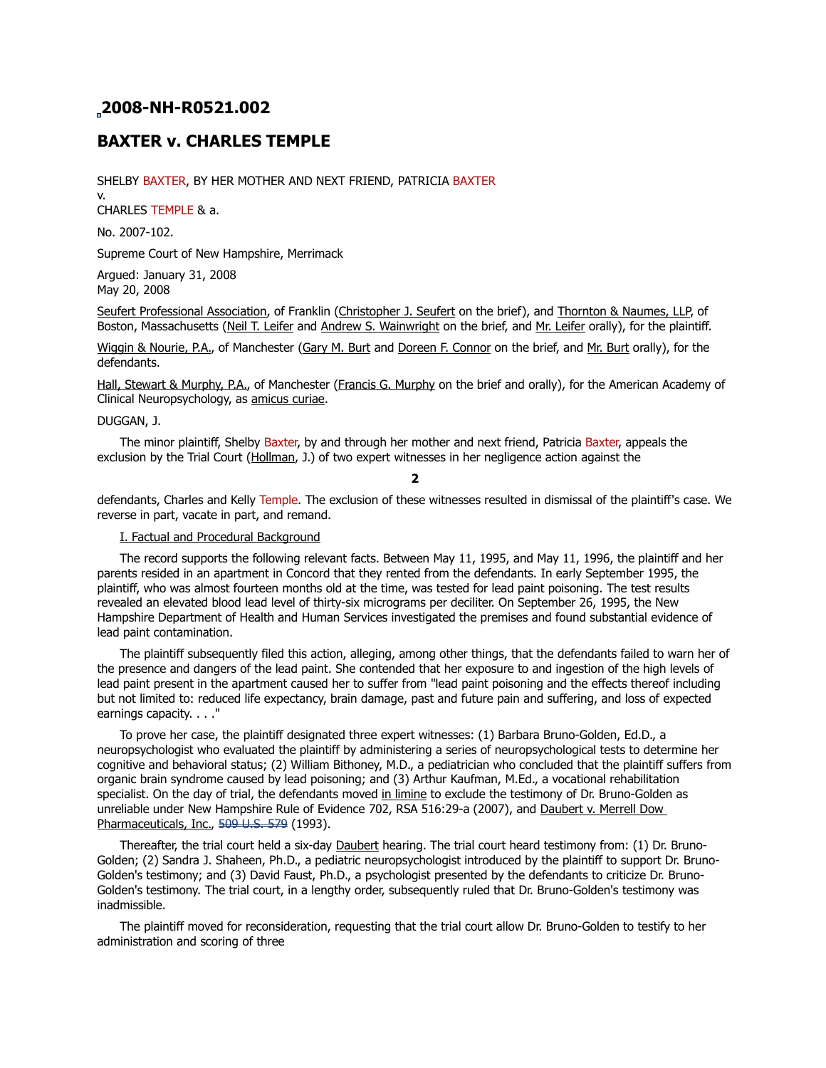# **2008-NH-R0521.002**

# **BAXTER v. CHARLES TEMPLE**

SHELBY BAXTER, BY HER MOTHER AND NEXT FRIEND, PATRICIA BAXTER

v. CHARLES TEMPLE & a.

No. 2007-102.

Supreme Court of New Hampshire, Merrimack

Argued: January 31, 2008 May 20, 2008

Seufert Professional Association, of Franklin (Christopher J. Seufert on the brief), and Thornton & Naumes, LLP, of Boston, Massachusetts (Neil T. Leifer and Andrew S. Wainwright on the brief, and Mr. Leifer orally), for the plaintiff.

Wiggin & Nourie, P.A., of Manchester (Gary M. Burt and Doreen F. Connor on the brief, and Mr. Burt orally), for the defendants.

Hall, Stewart & Murphy, P.A., of Manchester (Francis G. Murphy on the brief and orally), for the American Academy of Clinical Neuropsychology, as amicus curiae.

#### DUGGAN, J.

 The minor plaintiff, Shelby Baxter, by and through her mother and next friend, Patricia Baxter, appeals the exclusion by the Trial Court (Hollman, J.) of two expert witnesses in her negligence action against the

**2**

defendants, Charles and Kelly Temple. The exclusion of these witnesses resulted in dismissal of the plaintiff's case. We reverse in part, vacate in part, and remand.

## I. Factual and Procedural Background

 The record supports the following relevant facts. Between May 11, 1995, and May 11, 1996, the plaintiff and her parents resided in an apartment in Concord that they rented from the defendants. In early September 1995, the plaintiff, who was almost fourteen months old at the time, was tested for lead paint poisoning. The test results revealed an elevated blood lead level of thirty-six micrograms per deciliter. On September 26, 1995, the New Hampshire Department of Health and Human Services investigated the premises and found substantial evidence of lead paint contamination.

 The plaintiff subsequently filed this action, alleging, among other things, that the defendants failed to warn her of the presence and dangers of the lead paint. She contended that her exposure to and ingestion of the high levels of lead paint present in the apartment caused her to suffer from "lead paint poisoning and the effects thereof including but not limited to: reduced life expectancy, brain damage, past and future pain and suffering, and loss of expected earnings capacity. . . ."

 To prove her case, the plaintiff designated three expert witnesses: (1) Barbara Bruno-Golden, Ed.D., a neuropsychologist who evaluated the plaintiff by administering a series of neuropsychological tests to determine her cognitive and behavioral status; (2) William Bithoney, M.D., a pediatrician who concluded that the plaintiff suffers from organic brain syndrome caused by lead poisoning; and (3) Arthur Kaufman, M.Ed., a vocational rehabilitation specialist. On the day of trial, the defendants moved in limine to exclude the testimony of Dr. Bruno-Golden as unreliable under New Hampshire Rule of Evidence 702, RSA 516:29-a (2007), and Daubert v. Merrell Dow Pharmaceuticals, Inc., [509 U.S. 579](https://demo.lawriter.net/find_case?cite=509%20U.S.%20579) (1993).

Thereafter, the trial court held a six-day Daubert hearing. The trial court heard testimony from: (1) Dr. Bruno-Golden; (2) Sandra J. Shaheen, Ph.D., a pediatric neuropsychologist introduced by the plaintiff to support Dr. Bruno-Golden's testimony; and (3) David Faust, Ph.D., a psychologist presented by the defendants to criticize Dr. Bruno-Golden's testimony. The trial court, in a lengthy order, subsequently ruled that Dr. Bruno-Golden's testimony was inadmissible.

 The plaintiff moved for reconsideration, requesting that the trial court allow Dr. Bruno-Golden to testify to her administration and scoring of three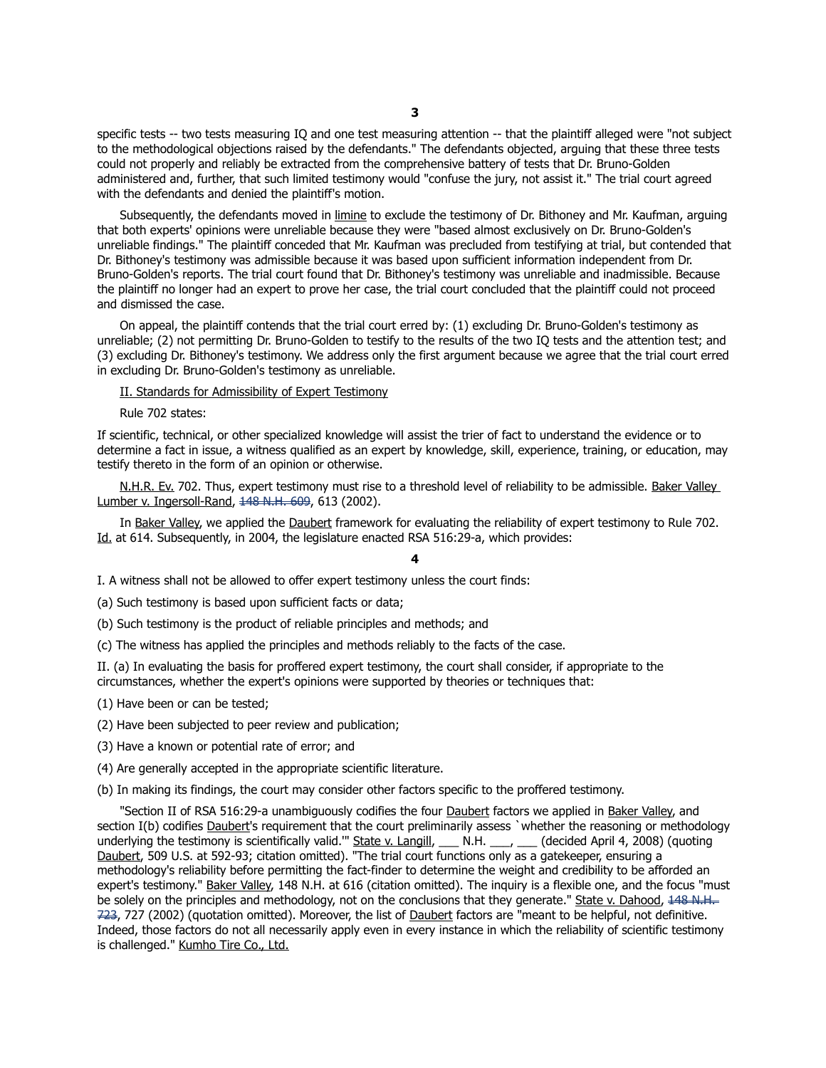specific tests -- two tests measuring IQ and one test measuring attention -- that the plaintiff alleged were "not subject to the methodological objections raised by the defendants." The defendants objected, arguing that these three tests could not properly and reliably be extracted from the comprehensive battery of tests that Dr. Bruno-Golden administered and, further, that such limited testimony would "confuse the jury, not assist it." The trial court agreed with the defendants and denied the plaintiff's motion.

Subsequently, the defendants moved in limine to exclude the testimony of Dr. Bithoney and Mr. Kaufman, arguing that both experts' opinions were unreliable because they were "based almost exclusively on Dr. Bruno-Golden's unreliable findings." The plaintiff conceded that Mr. Kaufman was precluded from testifying at trial, but contended that Dr. Bithoney's testimony was admissible because it was based upon sufficient information independent from Dr. Bruno-Golden's reports. The trial court found that Dr. Bithoney's testimony was unreliable and inadmissible. Because the plaintiff no longer had an expert to prove her case, the trial court concluded that the plaintiff could not proceed and dismissed the case.

 On appeal, the plaintiff contends that the trial court erred by: (1) excluding Dr. Bruno-Golden's testimony as unreliable; (2) not permitting Dr. Bruno-Golden to testify to the results of the two IQ tests and the attention test; and (3) excluding Dr. Bithoney's testimony. We address only the first argument because we agree that the trial court erred in excluding Dr. Bruno-Golden's testimony as unreliable.

II. Standards for Admissibility of Expert Testimony

Rule 702 states:

If scientific, technical, or other specialized knowledge will assist the trier of fact to understand the evidence or to determine a fact in issue, a witness qualified as an expert by knowledge, skill, experience, training, or education, may testify thereto in the form of an opinion or otherwise.

N.H.R. Ev. 702. Thus, expert testimony must rise to a threshold level of reliability to be admissible. Baker Valley Lumber v. Ingersoll-Rand, 448 N.H. 609, 613 (2002).

 In Baker Valley, we applied the Daubert framework for evaluating the reliability of expert testimony to Rule 702. Id. at 614. Subsequently, in 2004, the legislature enacted RSA 516:29-a, which provides:

**4**

I. A witness shall not be allowed to offer expert testimony unless the court finds:

(a) Such testimony is based upon sufficient facts or data;

(b) Such testimony is the product of reliable principles and methods; and

(c) The witness has applied the principles and methods reliably to the facts of the case.

II. (a) In evaluating the basis for proffered expert testimony, the court shall consider, if appropriate to the circumstances, whether the expert's opinions were supported by theories or techniques that:

(1) Have been or can be tested;

(2) Have been subjected to peer review and publication;

(3) Have a known or potential rate of error; and

(4) Are generally accepted in the appropriate scientific literature.

(b) In making its findings, the court may consider other factors specific to the proffered testimony.

 "Section II of RSA 516:29-a unambiguously codifies the four Daubert factors we applied in Baker Valley, and section I(b) codifies Daubert's requirement that the court preliminarily assess `whether the reasoning or methodology underlying the testimony is scientifically valid."" State v. Langill, \_\_\_ N.H. \_\_\_, \_\_\_ (decided April 4, 2008) (quoting Daubert, 509 U.S. at 592-93; citation omitted). "The trial court functions only as a gatekeeper, ensuring a methodology's reliability before permitting the fact-finder to determine the weight and credibility to be afforded an expert's testimony." Baker Valley, 148 N.H. at 616 (citation omitted). The inquiry is a flexible one, and the focus "must be solely on the principles and methodology, not on the conclusions that they generate." State v. Dahood,  $\frac{148 \text{ N.H.}}{146 \text{ N.H.}}$ [723,](https://demo.lawriter.net/find_case?cite=148%20N.H.%20723) 727 (2002) (quotation omitted). Moreover, the list of Daubert factors are "meant to be helpful, not definitive. Indeed, those factors do not all necessarily apply even in every instance in which the reliability of scientific testimony is challenged." Kumho Tire Co., Ltd.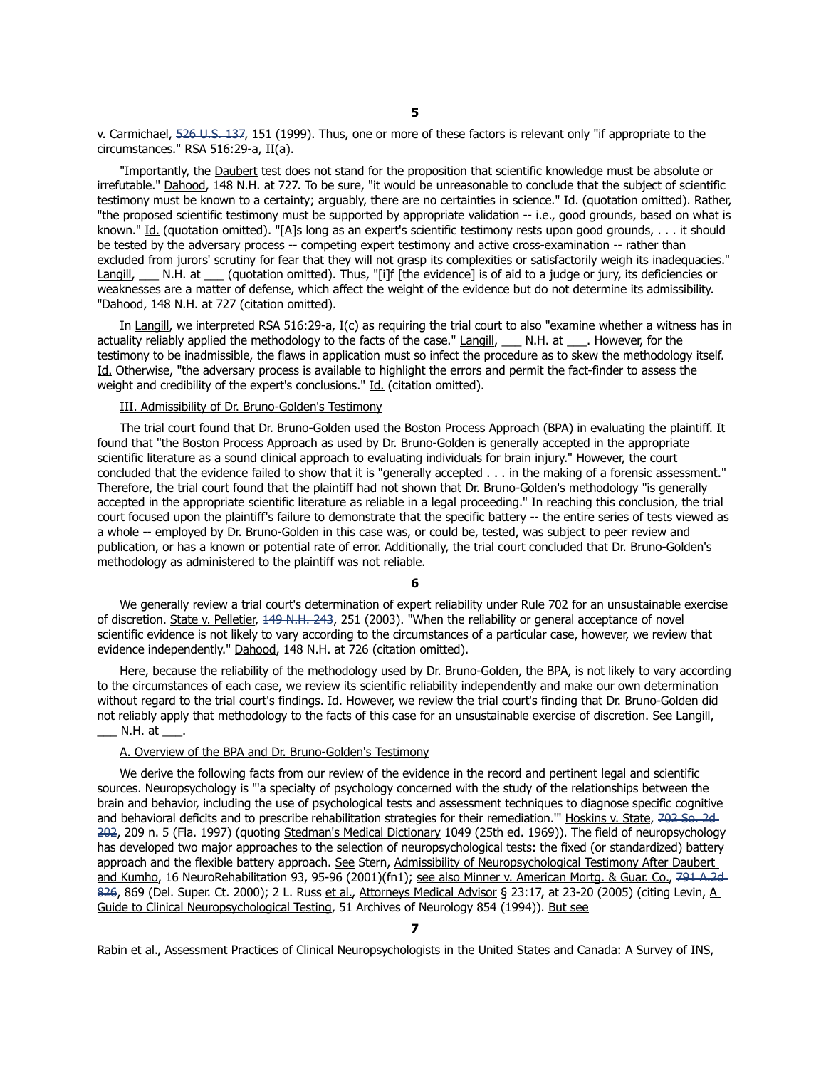v. Carmichael, [526 U.S. 137,](https://demo.lawriter.net/find_case?cite=526%20U.S.%20137) 151 (1999). Thus, one or more of these factors is relevant only "if appropriate to the circumstances." RSA 516:29-a, II(a).

 "Importantly, the Daubert test does not stand for the proposition that scientific knowledge must be absolute or irrefutable." Dahood, 148 N.H. at 727. To be sure, "it would be unreasonable to conclude that the subject of scientific testimony must be known to a certainty; arguably, there are no certainties in science." Id. (quotation omitted). Rather, "the proposed scientific testimony must be supported by appropriate validation -- i.e., good grounds, based on what is known." Id. (quotation omitted). "[A]s long as an expert's scientific testimony rests upon good grounds, . . . it should be tested by the adversary process -- competing expert testimony and active cross-examination -- rather than excluded from jurors' scrutiny for fear that they will not grasp its complexities or satisfactorily weigh its inadequacies." Langill, N.H. at (quotation omitted). Thus, "[i]f [the evidence] is of aid to a judge or jury, its deficiencies or weaknesses are a matter of defense, which affect the weight of the evidence but do not determine its admissibility. "Dahood, 148 N.H. at 727 (citation omitted).

 In Langill, we interpreted RSA 516:29-a, I(c) as requiring the trial court to also "examine whether a witness has in actuality reliably applied the methodology to the facts of the case." Langill, \_\_\_ N.H. at \_\_\_. However, for the testimony to be inadmissible, the flaws in application must so infect the procedure as to skew the methodology itself. Id. Otherwise, "the adversary process is available to highlight the errors and permit the fact-finder to assess the weight and credibility of the expert's conclusions." Id. (citation omitted).

## III. Admissibility of Dr. Bruno-Golden's Testimony

 The trial court found that Dr. Bruno-Golden used the Boston Process Approach (BPA) in evaluating the plaintiff. It found that "the Boston Process Approach as used by Dr. Bruno-Golden is generally accepted in the appropriate scientific literature as a sound clinical approach to evaluating individuals for brain injury." However, the court concluded that the evidence failed to show that it is "generally accepted . . . in the making of a forensic assessment." Therefore, the trial court found that the plaintiff had not shown that Dr. Bruno-Golden's methodology "is generally accepted in the appropriate scientific literature as reliable in a legal proceeding." In reaching this conclusion, the trial court focused upon the plaintiff's failure to demonstrate that the specific battery -- the entire series of tests viewed as a whole -- employed by Dr. Bruno-Golden in this case was, or could be, tested, was subject to peer review and publication, or has a known or potential rate of error. Additionally, the trial court concluded that Dr. Bruno-Golden's methodology as administered to the plaintiff was not reliable.

**6**

 We generally review a trial court's determination of expert reliability under Rule 702 for an unsustainable exercise of discretion. State v. Pelletier, [149 N.H. 243,](https://demo.lawriter.net/find_case?cite=149%20N.H.%20243) 251 (2003). "When the reliability or general acceptance of novel scientific evidence is not likely to vary according to the circumstances of a particular case, however, we review that evidence independently." Dahood, 148 N.H. at 726 (citation omitted).

 Here, because the reliability of the methodology used by Dr. Bruno-Golden, the BPA, is not likely to vary according to the circumstances of each case, we review its scientific reliability independently and make our own determination without regard to the trial court's findings. Id. However, we review the trial court's finding that Dr. Bruno-Golden did not reliably apply that methodology to the facts of this case for an unsustainable exercise of discretion. See Langill,  $\Box$  N.H. at  $\Box$ .

#### A. Overview of the BPA and Dr. Bruno-Golden's Testimony

 We derive the following facts from our review of the evidence in the record and pertinent legal and scientific sources. Neuropsychology is "'a specialty of psychology concerned with the study of the relationships between the brain and behavior, including the use of psychological tests and assessment techniques to diagnose specific cognitive and behavioral deficits and to prescribe rehabilitation strategies for their remediation." Hoskins v. State, [702 So. 2d](https://demo.lawriter.net/find_case?cite=702%20So.2d%20202)-[202,](https://demo.lawriter.net/find_case?cite=702%20So.2d%20202) 209 n. 5 (Fla. 1997) (quoting Stedman's Medical Dictionary 1049 (25th ed. 1969)). The field of neuropsychology has developed two major approaches to the selection of neuropsychological tests: the fixed (or standardized) battery approach and the flexible battery approach. See Stern, Admissibility of Neuropsychological Testimony After Daubert and Kumho, 16 NeuroRehabilitation 93, 95-96 (2001)(fn1); see also Minner v. American Mortg. & Guar. Co., [791 A.2d](https://demo.lawriter.net/find_case?cite=791%20A.2d%20826)-[826,](https://demo.lawriter.net/find_case?cite=791%20A.2d%20826) 869 (Del. Super. Ct. 2000); 2 L. Russ et al., Attorneys Medical Advisor § 23:17, at 23-20 (2005) (citing Levin, A Guide to Clinical Neuropsychological Testing, 51 Archives of Neurology 854 (1994)). But see

**7** Rabin et al., Assessment Practices of Clinical Neuropsychologists in the United States and Canada: A Survey of INS,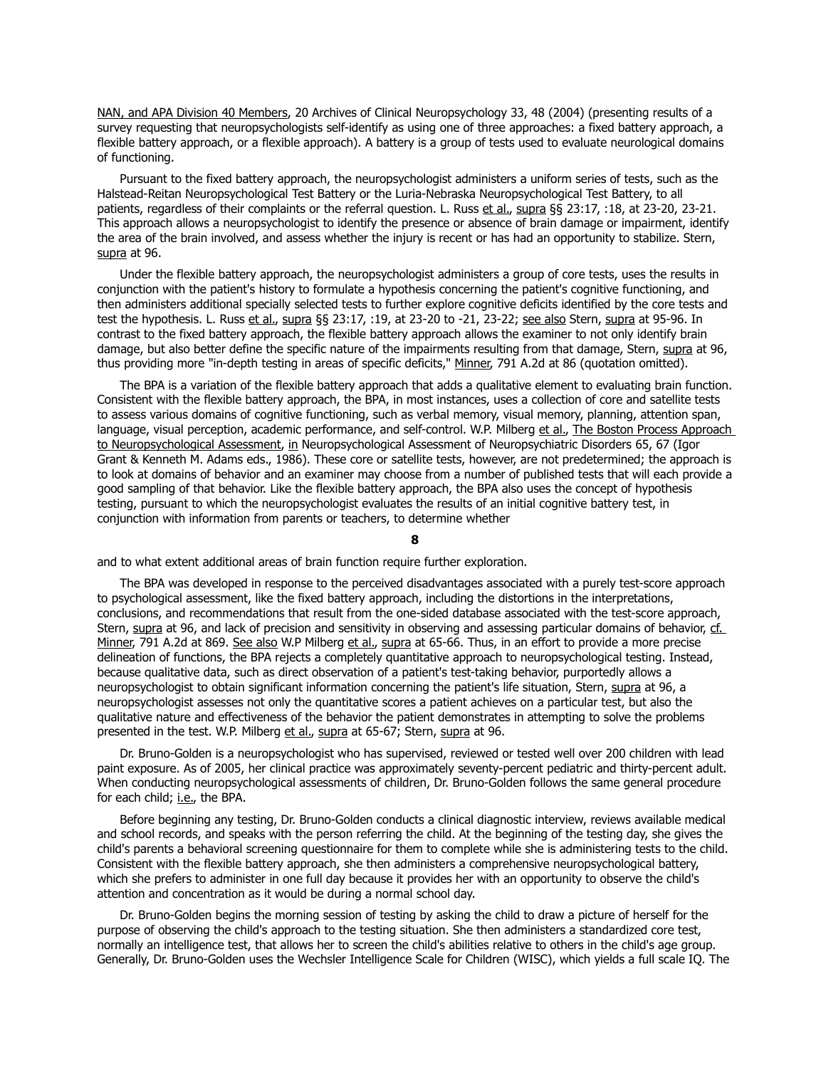NAN, and APA Division 40 Members, 20 Archives of Clinical Neuropsychology 33, 48 (2004) (presenting results of a survey requesting that neuropsychologists self-identify as using one of three approaches: a fixed battery approach, a flexible battery approach, or a flexible approach). A battery is a group of tests used to evaluate neurological domains of functioning.

 Pursuant to the fixed battery approach, the neuropsychologist administers a uniform series of tests, such as the Halstead-Reitan Neuropsychological Test Battery or the Luria-Nebraska Neuropsychological Test Battery, to all patients, regardless of their complaints or the referral question. L. Russ et al., supra §§ 23:17, :18, at 23-20, 23-21. This approach allows a neuropsychologist to identify the presence or absence of brain damage or impairment, identify the area of the brain involved, and assess whether the injury is recent or has had an opportunity to stabilize. Stern, supra at 96.

 Under the flexible battery approach, the neuropsychologist administers a group of core tests, uses the results in conjunction with the patient's history to formulate a hypothesis concerning the patient's cognitive functioning, and then administers additional specially selected tests to further explore cognitive deficits identified by the core tests and test the hypothesis. L. Russ et al., supra §§ 23:17, :19, at 23-20 to -21, 23-22; see also Stern, supra at 95-96. In contrast to the fixed battery approach, the flexible battery approach allows the examiner to not only identify brain damage, but also better define the specific nature of the impairments resulting from that damage, Stern, supra at 96, thus providing more "in-depth testing in areas of specific deficits," Minner, 791 A.2d at 86 (quotation omitted).

 The BPA is a variation of the flexible battery approach that adds a qualitative element to evaluating brain function. Consistent with the flexible battery approach, the BPA, in most instances, uses a collection of core and satellite tests to assess various domains of cognitive functioning, such as verbal memory, visual memory, planning, attention span, language, visual perception, academic performance, and self-control. W.P. Milberg et al., The Boston Process Approach to Neuropsychological Assessment, in Neuropsychological Assessment of Neuropsychiatric Disorders 65, 67 (Igor Grant & Kenneth M. Adams eds., 1986). These core or satellite tests, however, are not predetermined; the approach is to look at domains of behavior and an examiner may choose from a number of published tests that will each provide a good sampling of that behavior. Like the flexible battery approach, the BPA also uses the concept of hypothesis testing, pursuant to which the neuropsychologist evaluates the results of an initial cognitive battery test, in conjunction with information from parents or teachers, to determine whether

**8**

and to what extent additional areas of brain function require further exploration.

 The BPA was developed in response to the perceived disadvantages associated with a purely test-score approach to psychological assessment, like the fixed battery approach, including the distortions in the interpretations, conclusions, and recommendations that result from the one-sided database associated with the test-score approach, Stern, supra at 96, and lack of precision and sensitivity in observing and assessing particular domains of behavior, cf. Minner, 791 A.2d at 869. See also W.P Milberg et al., supra at 65-66. Thus, in an effort to provide a more precise delineation of functions, the BPA rejects a completely quantitative approach to neuropsychological testing. Instead, because qualitative data, such as direct observation of a patient's test-taking behavior, purportedly allows a neuropsychologist to obtain significant information concerning the patient's life situation, Stern, supra at 96, a neuropsychologist assesses not only the quantitative scores a patient achieves on a particular test, but also the qualitative nature and effectiveness of the behavior the patient demonstrates in attempting to solve the problems presented in the test. W.P. Milberg et al., supra at 65-67; Stern, supra at 96.

 Dr. Bruno-Golden is a neuropsychologist who has supervised, reviewed or tested well over 200 children with lead paint exposure. As of 2005, her clinical practice was approximately seventy-percent pediatric and thirty-percent adult. When conducting neuropsychological assessments of children, Dr. Bruno-Golden follows the same general procedure for each child; i.e., the BPA.

 Before beginning any testing, Dr. Bruno-Golden conducts a clinical diagnostic interview, reviews available medical and school records, and speaks with the person referring the child. At the beginning of the testing day, she gives the child's parents a behavioral screening questionnaire for them to complete while she is administering tests to the child. Consistent with the flexible battery approach, she then administers a comprehensive neuropsychological battery, which she prefers to administer in one full day because it provides her with an opportunity to observe the child's attention and concentration as it would be during a normal school day.

 Dr. Bruno-Golden begins the morning session of testing by asking the child to draw a picture of herself for the purpose of observing the child's approach to the testing situation. She then administers a standardized core test, normally an intelligence test, that allows her to screen the child's abilities relative to others in the child's age group. Generally, Dr. Bruno-Golden uses the Wechsler Intelligence Scale for Children (WISC), which yields a full scale IQ. The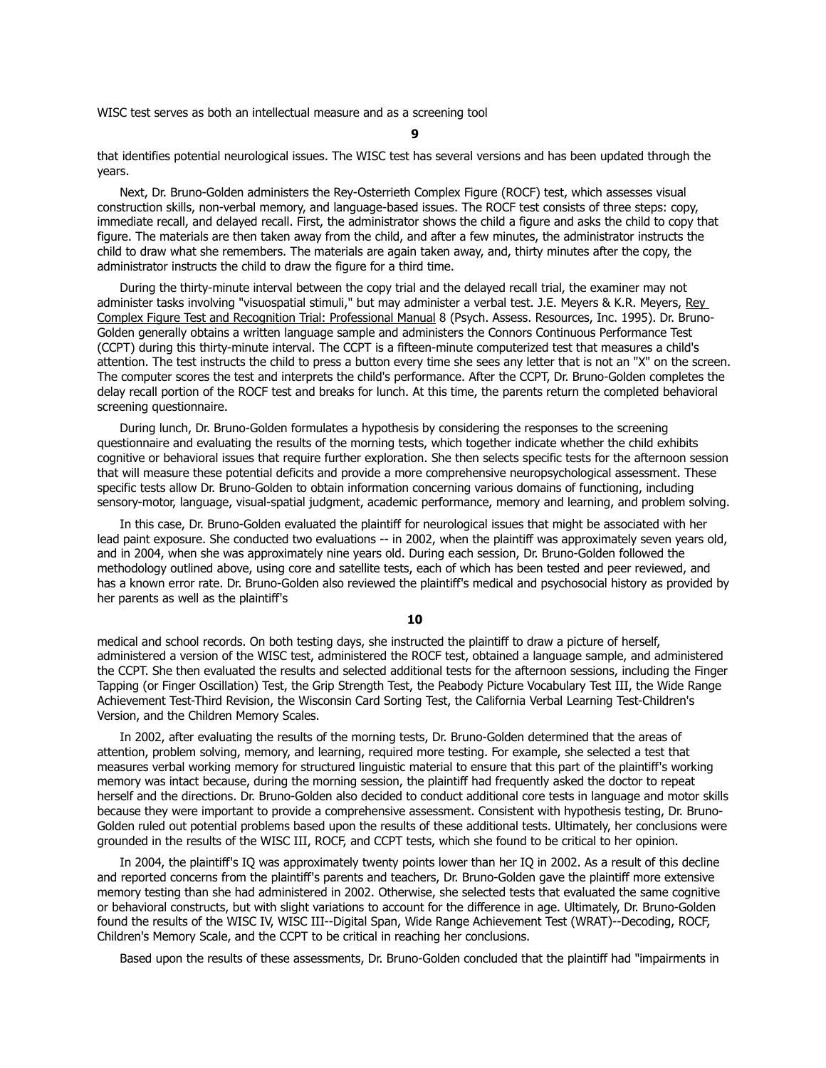WISC test serves as both an intellectual measure and as a screening tool

**9**

that identifies potential neurological issues. The WISC test has several versions and has been updated through the years.

 Next, Dr. Bruno-Golden administers the Rey-Osterrieth Complex Figure (ROCF) test, which assesses visual construction skills, non-verbal memory, and language-based issues. The ROCF test consists of three steps: copy, immediate recall, and delayed recall. First, the administrator shows the child a figure and asks the child to copy that figure. The materials are then taken away from the child, and after a few minutes, the administrator instructs the child to draw what she remembers. The materials are again taken away, and, thirty minutes after the copy, the administrator instructs the child to draw the figure for a third time.

 During the thirty-minute interval between the copy trial and the delayed recall trial, the examiner may not administer tasks involving "visuospatial stimuli," but may administer a verbal test. J.E. Meyers & K.R. Meyers, Rey Complex Figure Test and Recognition Trial: Professional Manual 8 (Psych. Assess. Resources, Inc. 1995). Dr. Bruno-Golden generally obtains a written language sample and administers the Connors Continuous Performance Test (CCPT) during this thirty-minute interval. The CCPT is a fifteen-minute computerized test that measures a child's attention. The test instructs the child to press a button every time she sees any letter that is not an "X" on the screen. The computer scores the test and interprets the child's performance. After the CCPT, Dr. Bruno-Golden completes the delay recall portion of the ROCF test and breaks for lunch. At this time, the parents return the completed behavioral screening questionnaire.

 During lunch, Dr. Bruno-Golden formulates a hypothesis by considering the responses to the screening questionnaire and evaluating the results of the morning tests, which together indicate whether the child exhibits cognitive or behavioral issues that require further exploration. She then selects specific tests for the afternoon session that will measure these potential deficits and provide a more comprehensive neuropsychological assessment. These specific tests allow Dr. Bruno-Golden to obtain information concerning various domains of functioning, including sensory-motor, language, visual-spatial judgment, academic performance, memory and learning, and problem solving.

 In this case, Dr. Bruno-Golden evaluated the plaintiff for neurological issues that might be associated with her lead paint exposure. She conducted two evaluations -- in 2002, when the plaintiff was approximately seven years old, and in 2004, when she was approximately nine years old. During each session, Dr. Bruno-Golden followed the methodology outlined above, using core and satellite tests, each of which has been tested and peer reviewed, and has a known error rate. Dr. Bruno-Golden also reviewed the plaintiff's medical and psychosocial history as provided by her parents as well as the plaintiff's

## **10**

medical and school records. On both testing days, she instructed the plaintiff to draw a picture of herself, administered a version of the WISC test, administered the ROCF test, obtained a language sample, and administered the CCPT. She then evaluated the results and selected additional tests for the afternoon sessions, including the Finger Tapping (or Finger Oscillation) Test, the Grip Strength Test, the Peabody Picture Vocabulary Test III, the Wide Range Achievement Test-Third Revision, the Wisconsin Card Sorting Test, the California Verbal Learning Test-Children's Version, and the Children Memory Scales.

 In 2002, after evaluating the results of the morning tests, Dr. Bruno-Golden determined that the areas of attention, problem solving, memory, and learning, required more testing. For example, she selected a test that measures verbal working memory for structured linguistic material to ensure that this part of the plaintiff's working memory was intact because, during the morning session, the plaintiff had frequently asked the doctor to repeat herself and the directions. Dr. Bruno-Golden also decided to conduct additional core tests in language and motor skills because they were important to provide a comprehensive assessment. Consistent with hypothesis testing, Dr. Bruno-Golden ruled out potential problems based upon the results of these additional tests. Ultimately, her conclusions were grounded in the results of the WISC III, ROCF, and CCPT tests, which she found to be critical to her opinion.

 In 2004, the plaintiff's IQ was approximately twenty points lower than her IQ in 2002. As a result of this decline and reported concerns from the plaintiff's parents and teachers, Dr. Bruno-Golden gave the plaintiff more extensive memory testing than she had administered in 2002. Otherwise, she selected tests that evaluated the same cognitive or behavioral constructs, but with slight variations to account for the difference in age. Ultimately, Dr. Bruno-Golden found the results of the WISC IV, WISC III--Digital Span, Wide Range Achievement Test (WRAT)--Decoding, ROCF, Children's Memory Scale, and the CCPT to be critical in reaching her conclusions.

Based upon the results of these assessments, Dr. Bruno-Golden concluded that the plaintiff had "impairments in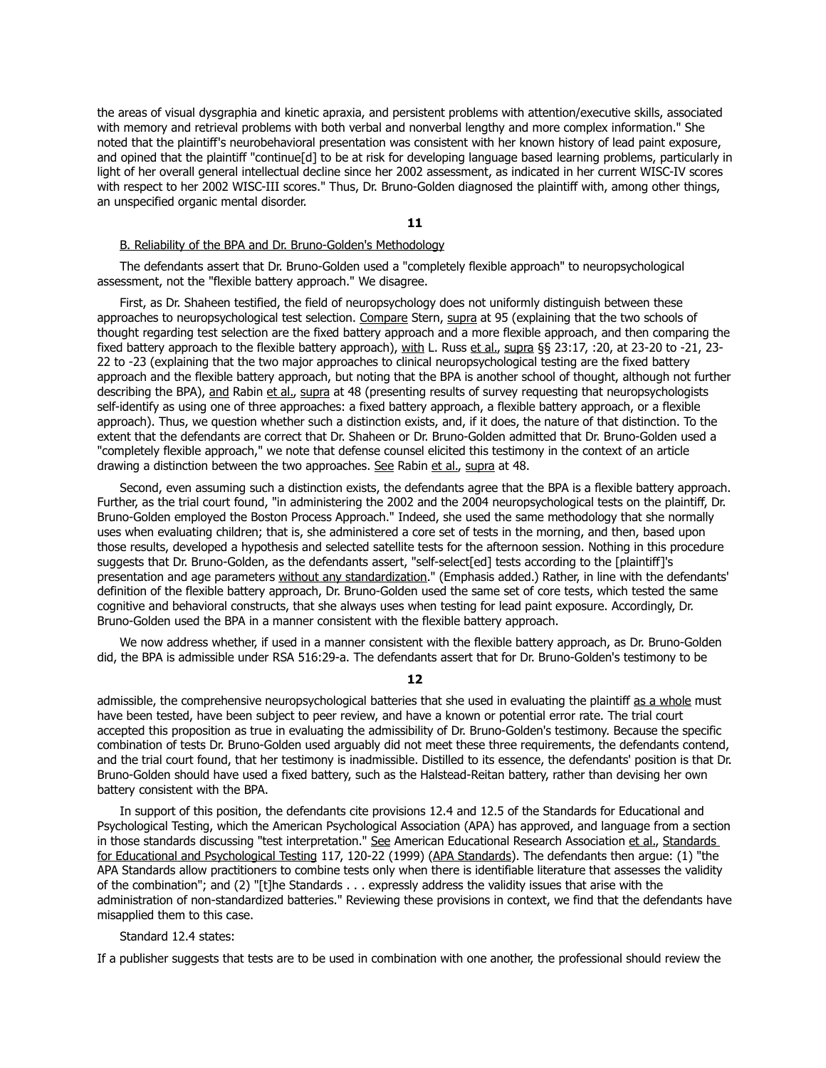the areas of visual dysgraphia and kinetic apraxia, and persistent problems with attention/executive skills, associated with memory and retrieval problems with both verbal and nonverbal lengthy and more complex information." She noted that the plaintiff's neurobehavioral presentation was consistent with her known history of lead paint exposure, and opined that the plaintiff "continue[d] to be at risk for developing language based learning problems, particularly in light of her overall general intellectual decline since her 2002 assessment, as indicated in her current WISC-IV scores with respect to her 2002 WISC-III scores." Thus, Dr. Bruno-Golden diagnosed the plaintiff with, among other things, an unspecified organic mental disorder.

#### **11**

#### B. Reliability of the BPA and Dr. Bruno-Golden's Methodology

 The defendants assert that Dr. Bruno-Golden used a "completely flexible approach" to neuropsychological assessment, not the "flexible battery approach." We disagree.

 First, as Dr. Shaheen testified, the field of neuropsychology does not uniformly distinguish between these approaches to neuropsychological test selection. Compare Stern, supra at 95 (explaining that the two schools of thought regarding test selection are the fixed battery approach and a more flexible approach, and then comparing the fixed battery approach to the flexible battery approach), with L. Russ et al., supra §§ 23:17, :20, at 23-20 to -21, 23-22 to -23 (explaining that the two major approaches to clinical neuropsychological testing are the fixed battery approach and the flexible battery approach, but noting that the BPA is another school of thought, although not further describing the BPA), and Rabin et al., supra at 48 (presenting results of survey requesting that neuropsychologists self-identify as using one of three approaches: a fixed battery approach, a flexible battery approach, or a flexible approach). Thus, we question whether such a distinction exists, and, if it does, the nature of that distinction. To the extent that the defendants are correct that Dr. Shaheen or Dr. Bruno-Golden admitted that Dr. Bruno-Golden used a "completely flexible approach," we note that defense counsel elicited this testimony in the context of an article drawing a distinction between the two approaches. See Rabin et al., supra at 48.

 Second, even assuming such a distinction exists, the defendants agree that the BPA is a flexible battery approach. Further, as the trial court found, "in administering the 2002 and the 2004 neuropsychological tests on the plaintiff, Dr. Bruno-Golden employed the Boston Process Approach." Indeed, she used the same methodology that she normally uses when evaluating children; that is, she administered a core set of tests in the morning, and then, based upon those results, developed a hypothesis and selected satellite tests for the afternoon session. Nothing in this procedure suggests that Dr. Bruno-Golden, as the defendants assert, "self-select[ed] tests according to the [plaintiff]'s presentation and age parameters without any standardization." (Emphasis added.) Rather, in line with the defendants' definition of the flexible battery approach, Dr. Bruno-Golden used the same set of core tests, which tested the same cognitive and behavioral constructs, that she always uses when testing for lead paint exposure. Accordingly, Dr. Bruno-Golden used the BPA in a manner consistent with the flexible battery approach.

 We now address whether, if used in a manner consistent with the flexible battery approach, as Dr. Bruno-Golden did, the BPA is admissible under RSA 516:29-a. The defendants assert that for Dr. Bruno-Golden's testimony to be

**12**

admissible, the comprehensive neuropsychological batteries that she used in evaluating the plaintiff as a whole must have been tested, have been subject to peer review, and have a known or potential error rate. The trial court accepted this proposition as true in evaluating the admissibility of Dr. Bruno-Golden's testimony. Because the specific combination of tests Dr. Bruno-Golden used arguably did not meet these three requirements, the defendants contend, and the trial court found, that her testimony is inadmissible. Distilled to its essence, the defendants' position is that Dr. Bruno-Golden should have used a fixed battery, such as the Halstead-Reitan battery, rather than devising her own battery consistent with the BPA.

 In support of this position, the defendants cite provisions 12.4 and 12.5 of the Standards for Educational and Psychological Testing, which the American Psychological Association (APA) has approved, and language from a section in those standards discussing "test interpretation." See American Educational Research Association et al., Standards for Educational and Psychological Testing 117, 120-22 (1999) (APA Standards). The defendants then argue: (1) "the APA Standards allow practitioners to combine tests only when there is identifiable literature that assesses the validity of the combination"; and (2) "[t]he Standards . . . expressly address the validity issues that arise with the administration of non-standardized batteries." Reviewing these provisions in context, we find that the defendants have misapplied them to this case.

## Standard 12.4 states:

If a publisher suggests that tests are to be used in combination with one another, the professional should review the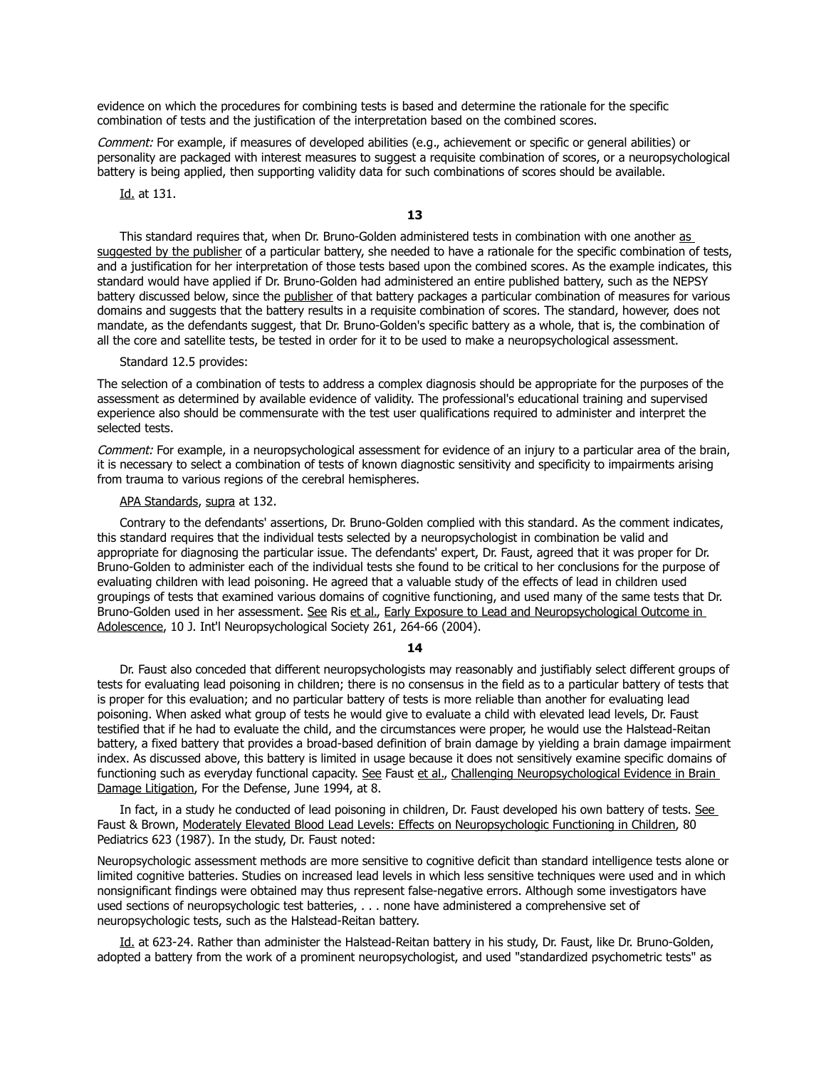evidence on which the procedures for combining tests is based and determine the rationale for the specific combination of tests and the justification of the interpretation based on the combined scores.

Comment: For example, if measures of developed abilities (e.g., achievement or specific or general abilities) or personality are packaged with interest measures to suggest a requisite combination of scores, or a neuropsychological battery is being applied, then supporting validity data for such combinations of scores should be available.

Id. at 131.

**13**

This standard requires that, when Dr. Bruno-Golden administered tests in combination with one another as suggested by the publisher of a particular battery, she needed to have a rationale for the specific combination of tests, and a justification for her interpretation of those tests based upon the combined scores. As the example indicates, this standard would have applied if Dr. Bruno-Golden had administered an entire published battery, such as the NEPSY battery discussed below, since the publisher of that battery packages a particular combination of measures for various domains and suggests that the battery results in a requisite combination of scores. The standard, however, does not mandate, as the defendants suggest, that Dr. Bruno-Golden's specific battery as a whole, that is, the combination of all the core and satellite tests, be tested in order for it to be used to make a neuropsychological assessment.

## Standard 12.5 provides:

The selection of a combination of tests to address a complex diagnosis should be appropriate for the purposes of the assessment as determined by available evidence of validity. The professional's educational training and supervised experience also should be commensurate with the test user qualifications required to administer and interpret the selected tests.

Comment: For example, in a neuropsychological assessment for evidence of an injury to a particular area of the brain, it is necessary to select a combination of tests of known diagnostic sensitivity and specificity to impairments arising from trauma to various regions of the cerebral hemispheres.

#### APA Standards, supra at 132.

 Contrary to the defendants' assertions, Dr. Bruno-Golden complied with this standard. As the comment indicates, this standard requires that the individual tests selected by a neuropsychologist in combination be valid and appropriate for diagnosing the particular issue. The defendants' expert, Dr. Faust, agreed that it was proper for Dr. Bruno-Golden to administer each of the individual tests she found to be critical to her conclusions for the purpose of evaluating children with lead poisoning. He agreed that a valuable study of the effects of lead in children used groupings of tests that examined various domains of cognitive functioning, and used many of the same tests that Dr. Bruno-Golden used in her assessment. See Ris et al., Early Exposure to Lead and Neuropsychological Outcome in Adolescence, 10 J. Int'l Neuropsychological Society 261, 264-66 (2004).

#### **14**

 Dr. Faust also conceded that different neuropsychologists may reasonably and justifiably select different groups of tests for evaluating lead poisoning in children; there is no consensus in the field as to a particular battery of tests that is proper for this evaluation; and no particular battery of tests is more reliable than another for evaluating lead poisoning. When asked what group of tests he would give to evaluate a child with elevated lead levels, Dr. Faust testified that if he had to evaluate the child, and the circumstances were proper, he would use the Halstead-Reitan battery, a fixed battery that provides a broad-based definition of brain damage by yielding a brain damage impairment index. As discussed above, this battery is limited in usage because it does not sensitively examine specific domains of functioning such as everyday functional capacity. See Faust et al., Challenging Neuropsychological Evidence in Brain Damage Litigation, For the Defense, June 1994, at 8.

 In fact, in a study he conducted of lead poisoning in children, Dr. Faust developed his own battery of tests. See Faust & Brown, Moderately Elevated Blood Lead Levels: Effects on Neuropsychologic Functioning in Children, 80 Pediatrics 623 (1987). In the study, Dr. Faust noted:

Neuropsychologic assessment methods are more sensitive to cognitive deficit than standard intelligence tests alone or limited cognitive batteries. Studies on increased lead levels in which less sensitive techniques were used and in which nonsignificant findings were obtained may thus represent false-negative errors. Although some investigators have used sections of neuropsychologic test batteries, . . . none have administered a comprehensive set of neuropsychologic tests, such as the Halstead-Reitan battery.

Id. at 623-24. Rather than administer the Halstead-Reitan battery in his study, Dr. Faust, like Dr. Bruno-Golden, adopted a battery from the work of a prominent neuropsychologist, and used "standardized psychometric tests" as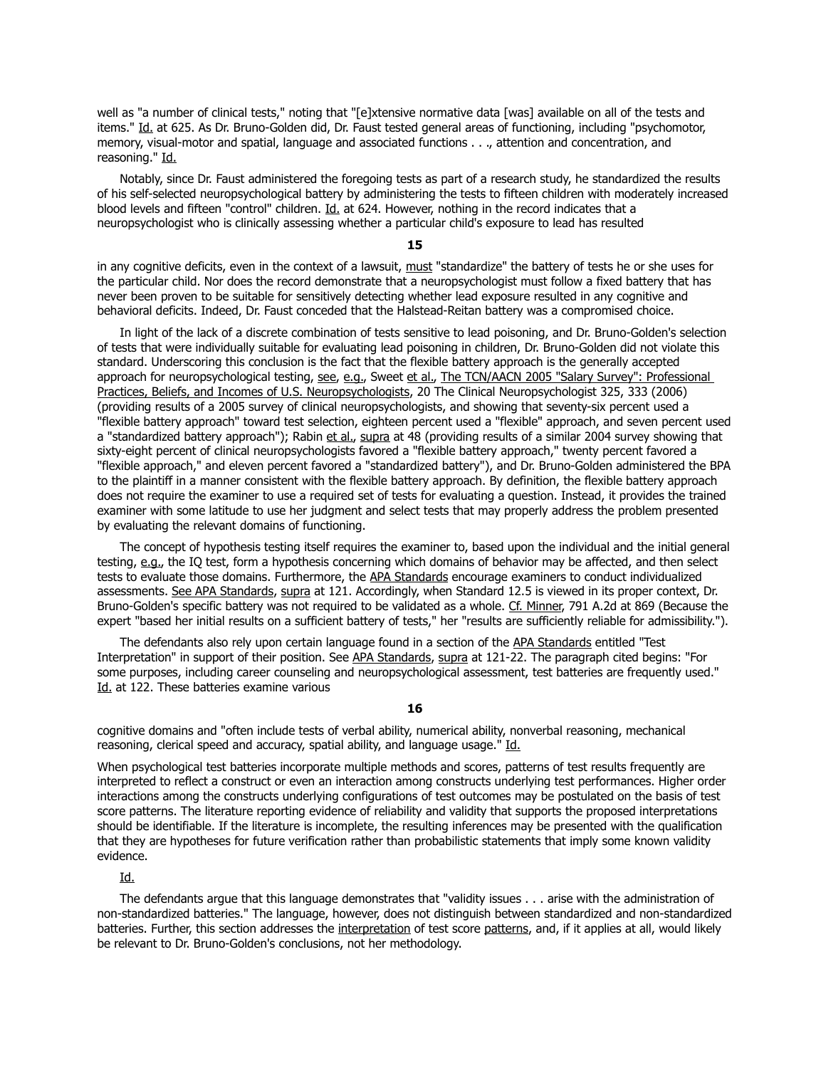well as "a number of clinical tests," noting that "[e]xtensive normative data [was] available on all of the tests and items." Id. at 625. As Dr. Bruno-Golden did, Dr. Faust tested general areas of functioning, including "psychomotor, memory, visual-motor and spatial, language and associated functions . . ., attention and concentration, and reasoning." Id.

 Notably, since Dr. Faust administered the foregoing tests as part of a research study, he standardized the results of his self-selected neuropsychological battery by administering the tests to fifteen children with moderately increased blood levels and fifteen "control" children. Id. at 624. However, nothing in the record indicates that a neuropsychologist who is clinically assessing whether a particular child's exposure to lead has resulted

#### **15**

in any cognitive deficits, even in the context of a lawsuit, must "standardize" the battery of tests he or she uses for the particular child. Nor does the record demonstrate that a neuropsychologist must follow a fixed battery that has never been proven to be suitable for sensitively detecting whether lead exposure resulted in any cognitive and behavioral deficits. Indeed, Dr. Faust conceded that the Halstead-Reitan battery was a compromised choice.

 In light of the lack of a discrete combination of tests sensitive to lead poisoning, and Dr. Bruno-Golden's selection of tests that were individually suitable for evaluating lead poisoning in children, Dr. Bruno-Golden did not violate this standard. Underscoring this conclusion is the fact that the flexible battery approach is the generally accepted approach for neuropsychological testing, see, e.g., Sweet et al., The TCN/AACN 2005 "Salary Survey": Professional Practices, Beliefs, and Incomes of U.S. Neuropsychologists, 20 The Clinical Neuropsychologist 325, 333 (2006) (providing results of a 2005 survey of clinical neuropsychologists, and showing that seventy-six percent used a "flexible battery approach" toward test selection, eighteen percent used a "flexible" approach, and seven percent used a "standardized battery approach"); Rabin et al., supra at 48 (providing results of a similar 2004 survey showing that sixty-eight percent of clinical neuropsychologists favored a "flexible battery approach," twenty percent favored a "flexible approach," and eleven percent favored a "standardized battery"), and Dr. Bruno-Golden administered the BPA to the plaintiff in a manner consistent with the flexible battery approach. By definition, the flexible battery approach does not require the examiner to use a required set of tests for evaluating a question. Instead, it provides the trained examiner with some latitude to use her judgment and select tests that may properly address the problem presented by evaluating the relevant domains of functioning.

 The concept of hypothesis testing itself requires the examiner to, based upon the individual and the initial general testing, e.g., the IQ test, form a hypothesis concerning which domains of behavior may be affected, and then select tests to evaluate those domains. Furthermore, the APA Standards encourage examiners to conduct individualized assessments. See APA Standards, supra at 121. Accordingly, when Standard 12.5 is viewed in its proper context, Dr. Bruno-Golden's specific battery was not required to be validated as a whole. Cf. Minner, 791 A.2d at 869 (Because the expert "based her initial results on a sufficient battery of tests," her "results are sufficiently reliable for admissibility.").

 The defendants also rely upon certain language found in a section of the APA Standards entitled "Test Interpretation" in support of their position. See APA Standards, supra at 121-22. The paragraph cited begins: "For some purposes, including career counseling and neuropsychological assessment, test batteries are frequently used." Id. at 122. These batteries examine various

**16**

cognitive domains and "often include tests of verbal ability, numerical ability, nonverbal reasoning, mechanical reasoning, clerical speed and accuracy, spatial ability, and language usage." Id.

When psychological test batteries incorporate multiple methods and scores, patterns of test results frequently are interpreted to reflect a construct or even an interaction among constructs underlying test performances. Higher order interactions among the constructs underlying configurations of test outcomes may be postulated on the basis of test score patterns. The literature reporting evidence of reliability and validity that supports the proposed interpretations should be identifiable. If the literature is incomplete, the resulting inferences may be presented with the qualification that they are hypotheses for future verification rather than probabilistic statements that imply some known validity evidence.

Id.

 The defendants argue that this language demonstrates that "validity issues . . . arise with the administration of non-standardized batteries." The language, however, does not distinguish between standardized and non-standardized batteries. Further, this section addresses the interpretation of test score patterns, and, if it applies at all, would likely be relevant to Dr. Bruno-Golden's conclusions, not her methodology.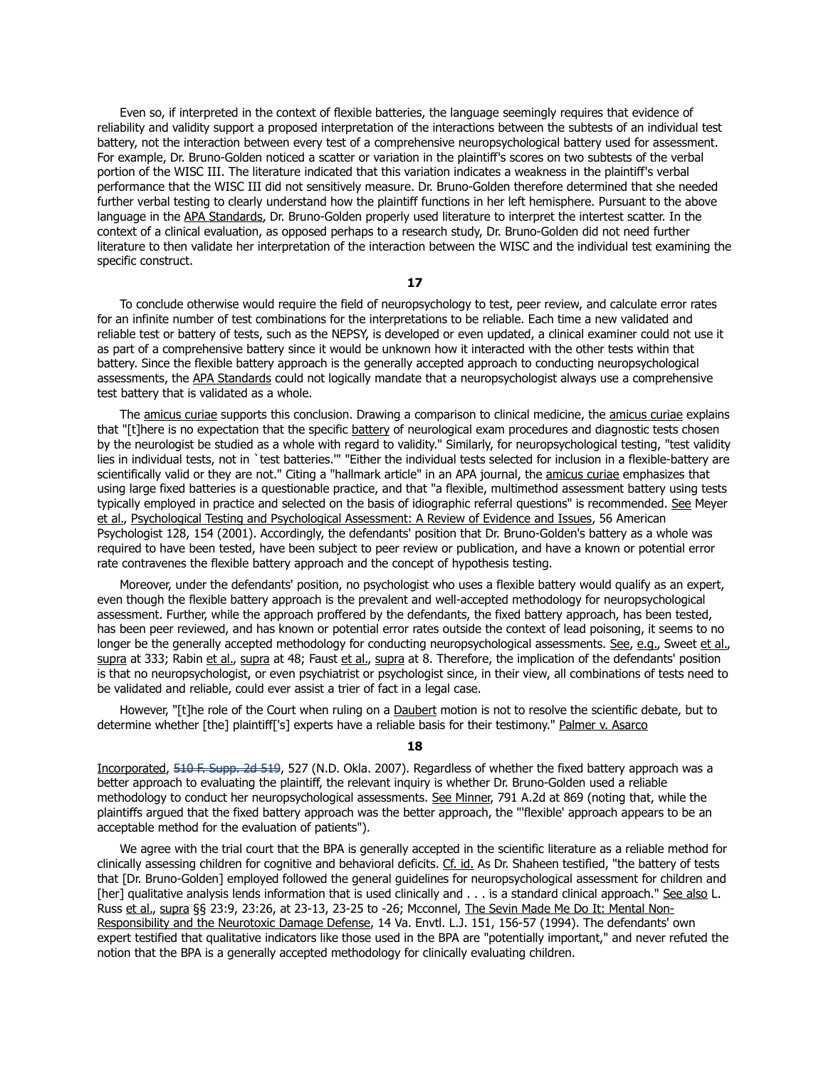Even so, if interpreted in the context of flexible batteries, the language seemingly requires that evidence of reliability and validity support a proposed interpretation of the interactions between the subtests of an individual test battery, not the interaction between every test of a comprehensive neuropsychological battery used for assessment. For example, Dr. Bruno-Golden noticed a scatter or variation in the plaintiff's scores on two subtests of the verbal portion of the WISC III. The literature indicated that this variation indicates a weakness in the plaintiff's verbal performance that the WISC III did not sensitively measure. Dr. Bruno-Golden therefore determined that she needed further verbal testing to clearly understand how the plaintiff functions in her left hemisphere. Pursuant to the above language in the APA Standards, Dr. Bruno-Golden properly used literature to interpret the intertest scatter. In the context of a clinical evaluation, as opposed perhaps to a research study, Dr. Bruno-Golden did not need further literature to then validate her interpretation of the interaction between the WISC and the individual test examining the specific construct.

**17**

 To conclude otherwise would require the field of neuropsychology to test, peer review, and calculate error rates for an infinite number of test combinations for the interpretations to be reliable. Each time a new validated and reliable test or battery of tests, such as the NEPSY, is developed or even updated, a clinical examiner could not use it as part of a comprehensive battery since it would be unknown how it interacted with the other tests within that battery. Since the flexible battery approach is the generally accepted approach to conducting neuropsychological assessments, the APA Standards could not logically mandate that a neuropsychologist always use a comprehensive test battery that is validated as a whole.

The amicus curiae supports this conclusion. Drawing a comparison to clinical medicine, the amicus curiae explains that "[t]here is no expectation that the specific battery of neurological exam procedures and diagnostic tests chosen by the neurologist be studied as a whole with regard to validity." Similarly, for neuropsychological testing, "test validity lies in individual tests, not in `test batteries.'" "Either the individual tests selected for inclusion in a flexible-battery are scientifically valid or they are not." Citing a "hallmark article" in an APA journal, the amicus curiae emphasizes that using large fixed batteries is a questionable practice, and that "a flexible, multimethod assessment battery using tests typically employed in practice and selected on the basis of idiographic referral questions" is recommended. See Meyer et al., Psychological Testing and Psychological Assessment: A Review of Evidence and Issues, 56 American Psychologist 128, 154 (2001). Accordingly, the defendants' position that Dr. Bruno-Golden's battery as a whole was required to have been tested, have been subject to peer review or publication, and have a known or potential error rate contravenes the flexible battery approach and the concept of hypothesis testing.

 Moreover, under the defendants' position, no psychologist who uses a flexible battery would qualify as an expert, even though the flexible battery approach is the prevalent and well-accepted methodology for neuropsychological assessment. Further, while the approach proffered by the defendants, the fixed battery approach, has been tested, has been peer reviewed, and has known or potential error rates outside the context of lead poisoning, it seems to no longer be the generally accepted methodology for conducting neuropsychological assessments. See, e.g., Sweet et al., supra at 333; Rabin et al., supra at 48; Faust et al., supra at 8. Therefore, the implication of the defendants' position is that no neuropsychologist, or even psychiatrist or psychologist since, in their view, all combinations of tests need to be validated and reliable, could ever assist a trier of fact in a legal case.

However, "[t]he role of the Court when ruling on a Daubert motion is not to resolve the scientific debate, but to determine whether [the] plaintiff['s] experts have a reliable basis for their testimony." Palmer v. Asarco

#### **18**

Incorporated, [510 F. Supp. 2d 519,](https://demo.lawriter.net/find_case?cite=510%20F.Supp.2d%20519) 527 (N.D. Okla. 2007). Regardless of whether the fixed battery approach was a better approach to evaluating the plaintiff, the relevant inquiry is whether Dr. Bruno-Golden used a reliable methodology to conduct her neuropsychological assessments. See Minner, 791 A.2d at 869 (noting that, while the plaintiffs argued that the fixed battery approach was the better approach, the "'flexible' approach appears to be an acceptable method for the evaluation of patients").

 We agree with the trial court that the BPA is generally accepted in the scientific literature as a reliable method for clinically assessing children for cognitive and behavioral deficits. Cf. id. As Dr. Shaheen testified, "the battery of tests that [Dr. Bruno-Golden] employed followed the general guidelines for neuropsychological assessment for children and [her] qualitative analysis lends information that is used clinically and . . . is a standard clinical approach." See also L. Russ et al., supra §§ 23:9, 23:26, at 23-13, 23-25 to -26; Mcconnel, The Sevin Made Me Do It: Mental Non-Responsibility and the Neurotoxic Damage Defense, 14 Va. Envtl. L.J. 151, 156-57 (1994). The defendants' own expert testified that qualitative indicators like those used in the BPA are "potentially important," and never refuted the notion that the BPA is a generally accepted methodology for clinically evaluating children.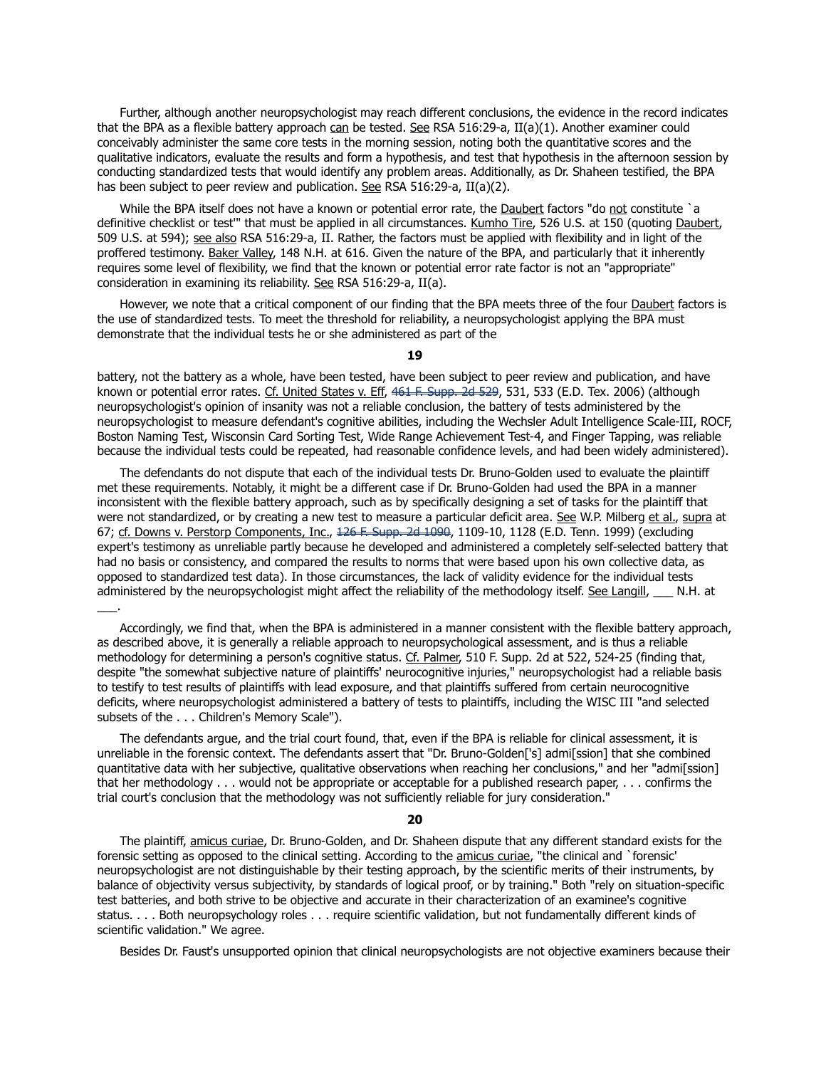Further, although another neuropsychologist may reach different conclusions, the evidence in the record indicates that the BPA as a flexible battery approach can be tested. See RSA 516:29-a,  $II(a)(1)$ . Another examiner could conceivably administer the same core tests in the morning session, noting both the quantitative scores and the qualitative indicators, evaluate the results and form a hypothesis, and test that hypothesis in the afternoon session by conducting standardized tests that would identify any problem areas. Additionally, as Dr. Shaheen testified, the BPA has been subject to peer review and publication. See RSA 516:29-a, II(a)(2).

While the BPA itself does not have a known or potential error rate, the **Daubert** factors "do not constitute `a definitive checklist or test" that must be applied in all circumstances. Kumho Tire, 526 U.S. at 150 (quoting Daubert, 509 U.S. at 594); see also RSA 516:29-a, II. Rather, the factors must be applied with flexibility and in light of the proffered testimony. Baker Valley, 148 N.H. at 616. Given the nature of the BPA, and particularly that it inherently requires some level of flexibility, we find that the known or potential error rate factor is not an "appropriate" consideration in examining its reliability. See RSA 516:29-a, II(a).

However, we note that a critical component of our finding that the BPA meets three of the four Daubert factors is the use of standardized tests. To meet the threshold for reliability, a neuropsychologist applying the BPA must demonstrate that the individual tests he or she administered as part of the

#### **19**

battery, not the battery as a whole, have been tested, have been subject to peer review and publication, and have known or potential error rates. Cf. United States v. Eff, [461 F. Supp. 2d 529,](https://demo.lawriter.net/find_case?cite=461%20F.Supp.2d%20529) 531, 533 (E.D. Tex. 2006) (although neuropsychologist's opinion of insanity was not a reliable conclusion, the battery of tests administered by the neuropsychologist to measure defendant's cognitive abilities, including the Wechsler Adult Intelligence Scale-III, ROCF, Boston Naming Test, Wisconsin Card Sorting Test, Wide Range Achievement Test-4, and Finger Tapping, was reliable because the individual tests could be repeated, had reasonable confidence levels, and had been widely administered).

 The defendants do not dispute that each of the individual tests Dr. Bruno-Golden used to evaluate the plaintiff met these requirements. Notably, it might be a different case if Dr. Bruno-Golden had used the BPA in a manner inconsistent with the flexible battery approach, such as by specifically designing a set of tasks for the plaintiff that were not standardized, or by creating a new test to measure a particular deficit area. See W.P. Milberg et al., supra at 67; cf. Downs v. Perstorp Components, Inc., [126 F. Supp. 2d 1090,](https://demo.lawriter.net/find_case?cite=126%20F.Supp.2d%201090) 1109-10, 1128 (E.D. Tenn. 1999) (excluding expert's testimony as unreliable partly because he developed and administered a completely self-selected battery that had no basis or consistency, and compared the results to norms that were based upon his own collective data, as opposed to standardized test data). In those circumstances, the lack of validity evidence for the individual tests administered by the neuropsychologist might affect the reliability of the methodology itself. See Langill, \_\_\_ N.H. at  $\overline{\phantom{a}}$ 

 Accordingly, we find that, when the BPA is administered in a manner consistent with the flexible battery approach, as described above, it is generally a reliable approach to neuropsychological assessment, and is thus a reliable methodology for determining a person's cognitive status. Cf. Palmer, 510 F. Supp. 2d at 522, 524-25 (finding that, despite "the somewhat subjective nature of plaintiffs' neurocognitive injuries," neuropsychologist had a reliable basis to testify to test results of plaintiffs with lead exposure, and that plaintiffs suffered from certain neurocognitive deficits, where neuropsychologist administered a battery of tests to plaintiffs, including the WISC III "and selected subsets of the . . . Children's Memory Scale").

 The defendants argue, and the trial court found, that, even if the BPA is reliable for clinical assessment, it is unreliable in the forensic context. The defendants assert that "Dr. Bruno-Golden['s] admi[ssion] that she combined quantitative data with her subjective, qualitative observations when reaching her conclusions," and her "admi[ssion] that her methodology . . . would not be appropriate or acceptable for a published research paper, . . . confirms the trial court's conclusion that the methodology was not sufficiently reliable for jury consideration."

## **20**

 The plaintiff, amicus curiae, Dr. Bruno-Golden, and Dr. Shaheen dispute that any different standard exists for the forensic setting as opposed to the clinical setting. According to the amicus curiae, "the clinical and `forensic' neuropsychologist are not distinguishable by their testing approach, by the scientific merits of their instruments, by balance of objectivity versus subjectivity, by standards of logical proof, or by training." Both "rely on situation-specific test batteries, and both strive to be objective and accurate in their characterization of an examinee's cognitive status. . . . Both neuropsychology roles . . . require scientific validation, but not fundamentally different kinds of scientific validation." We agree.

Besides Dr. Faust's unsupported opinion that clinical neuropsychologists are not objective examiners because their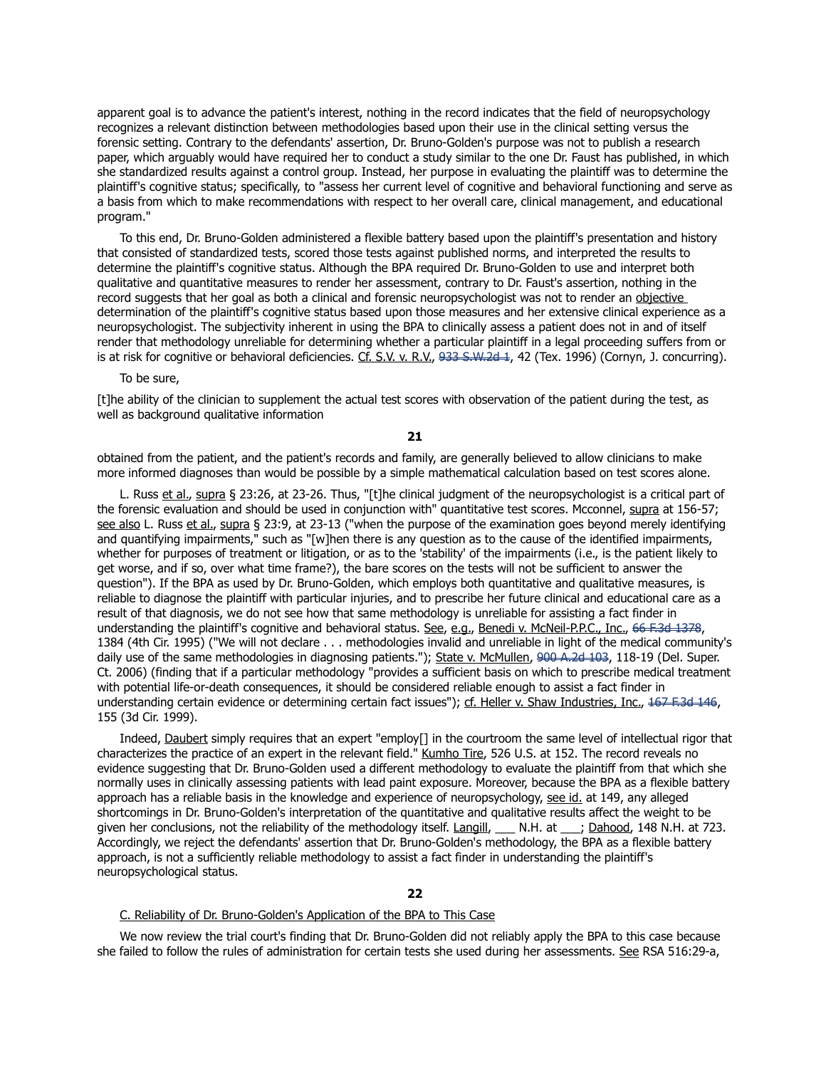apparent goal is to advance the patient's interest, nothing in the record indicates that the field of neuropsychology recognizes a relevant distinction between methodologies based upon their use in the clinical setting versus the forensic setting. Contrary to the defendants' assertion, Dr. Bruno-Golden's purpose was not to publish a research paper, which arguably would have required her to conduct a study similar to the one Dr. Faust has published, in which she standardized results against a control group. Instead, her purpose in evaluating the plaintiff was to determine the plaintiff's cognitive status; specifically, to "assess her current level of cognitive and behavioral functioning and serve as a basis from which to make recommendations with respect to her overall care, clinical management, and educational program."

 To this end, Dr. Bruno-Golden administered a flexible battery based upon the plaintiff's presentation and history that consisted of standardized tests, scored those tests against published norms, and interpreted the results to determine the plaintiff's cognitive status. Although the BPA required Dr. Bruno-Golden to use and interpret both qualitative and quantitative measures to render her assessment, contrary to Dr. Faust's assertion, nothing in the record suggests that her goal as both a clinical and forensic neuropsychologist was not to render an objective determination of the plaintiff's cognitive status based upon those measures and her extensive clinical experience as a neuropsychologist. The subjectivity inherent in using the BPA to clinically assess a patient does not in and of itself render that methodology unreliable for determining whether a particular plaintiff in a legal proceeding suffers from or is at risk for cognitive or behavioral deficiencies. Cf. S.V. v. R.V., [933 S.W.2d 1,](https://demo.lawriter.net/find_case?cite=933%20S.W.2d%201) 42 (Tex. 1996) (Cornyn, J. concurring).

To be sure,

[t]he ability of the clinician to supplement the actual test scores with observation of the patient during the test, as well as background qualitative information

**21**

obtained from the patient, and the patient's records and family, are generally believed to allow clinicians to make more informed diagnoses than would be possible by a simple mathematical calculation based on test scores alone.

 L. Russ et al., supra § 23:26, at 23-26. Thus, "[t]he clinical judgment of the neuropsychologist is a critical part of the forensic evaluation and should be used in conjunction with" quantitative test scores. Mcconnel, supra at 156-57; see also L. Russ et al., supra § 23:9, at 23-13 ("when the purpose of the examination goes beyond merely identifying and quantifying impairments," such as "[w]hen there is any question as to the cause of the identified impairments, whether for purposes of treatment or litigation, or as to the 'stability' of the impairments (i.e., is the patient likely to get worse, and if so, over what time frame?), the bare scores on the tests will not be sufficient to answer the question"). If the BPA as used by Dr. Bruno-Golden, which employs both quantitative and qualitative measures, is reliable to diagnose the plaintiff with particular injuries, and to prescribe her future clinical and educational care as a result of that diagnosis, we do not see how that same methodology is unreliable for assisting a fact finder in understanding the plaintiff's cognitive and behavioral status. See, e.g., Benedi v. McNeil-P.P.C., Inc., [66 F.3d 1378,](https://demo.lawriter.net/find_case?cite=66%20F.3d%201378) 1384 (4th Cir. 1995) ("We will not declare . . . methodologies invalid and unreliable in light of the medical community's daily use of the same methodologies in diagnosing patients."); State v. McMullen, [900 A.2d 103,](https://demo.lawriter.net/find_case?cite=900%20A.2d%20103) 118-19 (Del. Super. Ct. 2006) (finding that if a particular methodology "provides a sufficient basis on which to prescribe medical treatment with potential life-or-death consequences, it should be considered reliable enough to assist a fact finder in understanding certain evidence or determining certain fact issues"); cf. Heller v. Shaw Industries, Inc., [167 F.3d 146,](https://demo.lawriter.net/find_case?cite=167%20F.3d%20146) 155 (3d Cir. 1999).

Indeed, Daubert simply requires that an expert "employ[] in the courtroom the same level of intellectual rigor that characterizes the practice of an expert in the relevant field." Kumho Tire, 526 U.S. at 152. The record reveals no evidence suggesting that Dr. Bruno-Golden used a different methodology to evaluate the plaintiff from that which she normally uses in clinically assessing patients with lead paint exposure. Moreover, because the BPA as a flexible battery approach has a reliable basis in the knowledge and experience of neuropsychology, see id. at 149, any alleged shortcomings in Dr. Bruno-Golden's interpretation of the quantitative and qualitative results affect the weight to be given her conclusions, not the reliability of the methodology itself. Langill, \_\_\_ N.H. at \_\_\_; Dahood, 148 N.H. at 723. Accordingly, we reject the defendants' assertion that Dr. Bruno-Golden's methodology, the BPA as a flexible battery approach, is not a sufficiently reliable methodology to assist a fact finder in understanding the plaintiff's neuropsychological status.

### C. Reliability of Dr. Bruno-Golden's Application of the BPA to This Case

 We now review the trial court's finding that Dr. Bruno-Golden did not reliably apply the BPA to this case because she failed to follow the rules of administration for certain tests she used during her assessments. See RSA 516:29-a,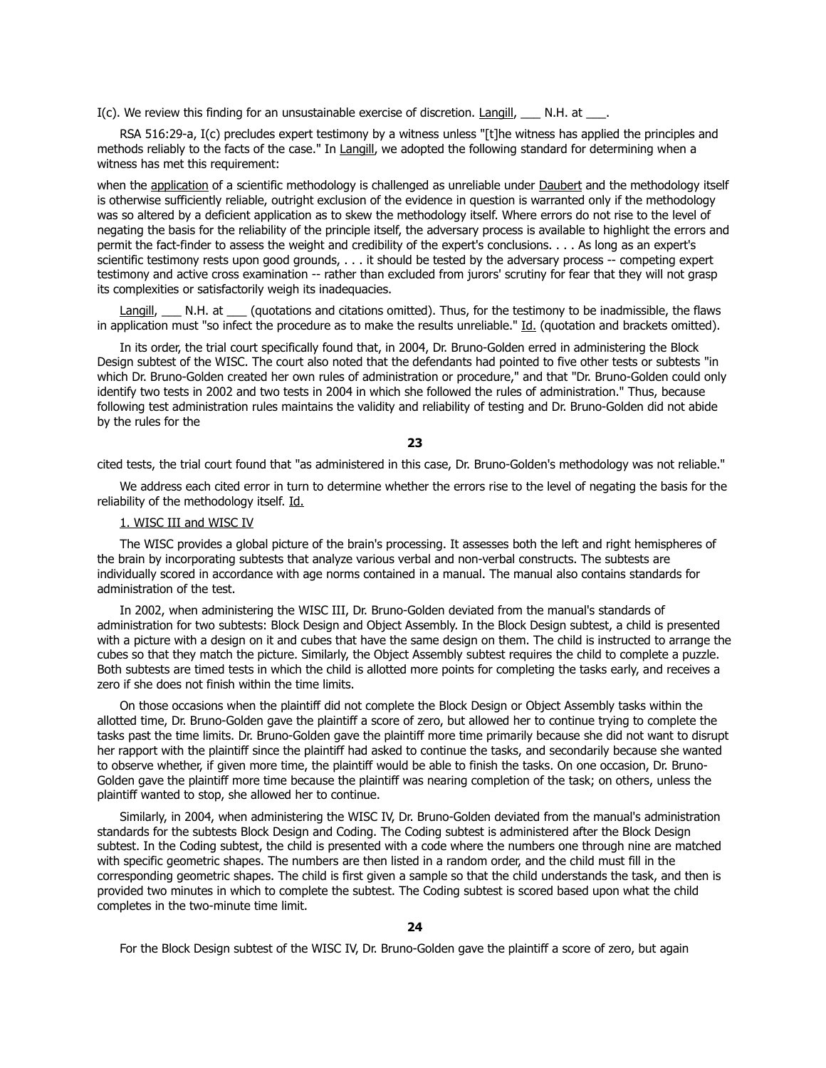I(c). We review this finding for an unsustainable exercise of discretion. Langill, \_\_\_ N.H. at \_\_\_

 RSA 516:29-a, I(c) precludes expert testimony by a witness unless "[t]he witness has applied the principles and methods reliably to the facts of the case." In Langill, we adopted the following standard for determining when a witness has met this requirement:

when the application of a scientific methodology is challenged as unreliable under Daubert and the methodology itself is otherwise sufficiently reliable, outright exclusion of the evidence in question is warranted only if the methodology was so altered by a deficient application as to skew the methodology itself. Where errors do not rise to the level of negating the basis for the reliability of the principle itself, the adversary process is available to highlight the errors and permit the fact-finder to assess the weight and credibility of the expert's conclusions. . . . As long as an expert's scientific testimony rests upon good grounds, . . . it should be tested by the adversary process -- competing expert testimony and active cross examination -- rather than excluded from jurors' scrutiny for fear that they will not grasp its complexities or satisfactorily weigh its inadequacies.

Langill, \_\_\_ N.H. at \_\_\_ (quotations and citations omitted). Thus, for the testimony to be inadmissible, the flaws in application must "so infect the procedure as to make the results unreliable." Id. (quotation and brackets omitted).

 In its order, the trial court specifically found that, in 2004, Dr. Bruno-Golden erred in administering the Block Design subtest of the WISC. The court also noted that the defendants had pointed to five other tests or subtests "in which Dr. Bruno-Golden created her own rules of administration or procedure," and that "Dr. Bruno-Golden could only identify two tests in 2002 and two tests in 2004 in which she followed the rules of administration." Thus, because following test administration rules maintains the validity and reliability of testing and Dr. Bruno-Golden did not abide by the rules for the

**23**

cited tests, the trial court found that "as administered in this case, Dr. Bruno-Golden's methodology was not reliable."

 We address each cited error in turn to determine whether the errors rise to the level of negating the basis for the reliability of the methodology itself. Id.

## 1. WISC III and WISC IV

 The WISC provides a global picture of the brain's processing. It assesses both the left and right hemispheres of the brain by incorporating subtests that analyze various verbal and non-verbal constructs. The subtests are individually scored in accordance with age norms contained in a manual. The manual also contains standards for administration of the test.

 In 2002, when administering the WISC III, Dr. Bruno-Golden deviated from the manual's standards of administration for two subtests: Block Design and Object Assembly. In the Block Design subtest, a child is presented with a picture with a design on it and cubes that have the same design on them. The child is instructed to arrange the cubes so that they match the picture. Similarly, the Object Assembly subtest requires the child to complete a puzzle. Both subtests are timed tests in which the child is allotted more points for completing the tasks early, and receives a zero if she does not finish within the time limits.

 On those occasions when the plaintiff did not complete the Block Design or Object Assembly tasks within the allotted time, Dr. Bruno-Golden gave the plaintiff a score of zero, but allowed her to continue trying to complete the tasks past the time limits. Dr. Bruno-Golden gave the plaintiff more time primarily because she did not want to disrupt her rapport with the plaintiff since the plaintiff had asked to continue the tasks, and secondarily because she wanted to observe whether, if given more time, the plaintiff would be able to finish the tasks. On one occasion, Dr. Bruno-Golden gave the plaintiff more time because the plaintiff was nearing completion of the task; on others, unless the plaintiff wanted to stop, she allowed her to continue.

 Similarly, in 2004, when administering the WISC IV, Dr. Bruno-Golden deviated from the manual's administration standards for the subtests Block Design and Coding. The Coding subtest is administered after the Block Design subtest. In the Coding subtest, the child is presented with a code where the numbers one through nine are matched with specific geometric shapes. The numbers are then listed in a random order, and the child must fill in the corresponding geometric shapes. The child is first given a sample so that the child understands the task, and then is provided two minutes in which to complete the subtest. The Coding subtest is scored based upon what the child completes in the two-minute time limit.

For the Block Design subtest of the WISC IV, Dr. Bruno-Golden gave the plaintiff a score of zero, but again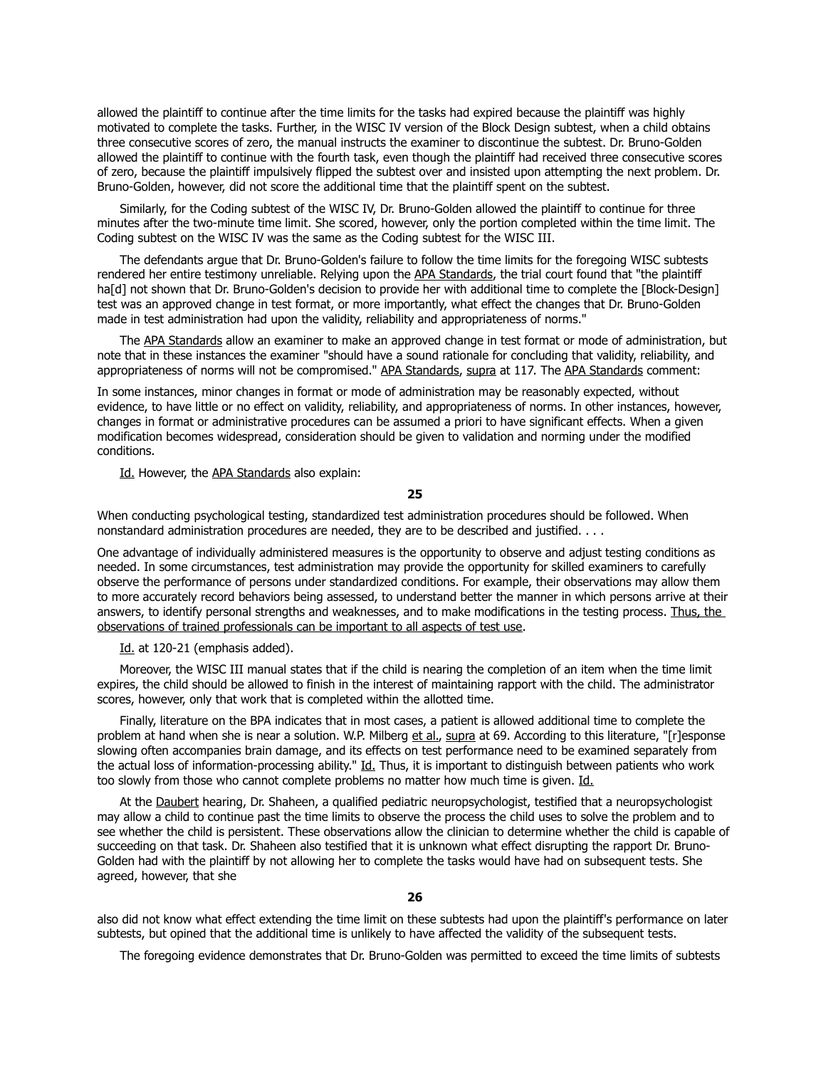allowed the plaintiff to continue after the time limits for the tasks had expired because the plaintiff was highly motivated to complete the tasks. Further, in the WISC IV version of the Block Design subtest, when a child obtains three consecutive scores of zero, the manual instructs the examiner to discontinue the subtest. Dr. Bruno-Golden allowed the plaintiff to continue with the fourth task, even though the plaintiff had received three consecutive scores of zero, because the plaintiff impulsively flipped the subtest over and insisted upon attempting the next problem. Dr. Bruno-Golden, however, did not score the additional time that the plaintiff spent on the subtest.

 Similarly, for the Coding subtest of the WISC IV, Dr. Bruno-Golden allowed the plaintiff to continue for three minutes after the two-minute time limit. She scored, however, only the portion completed within the time limit. The Coding subtest on the WISC IV was the same as the Coding subtest for the WISC III.

 The defendants argue that Dr. Bruno-Golden's failure to follow the time limits for the foregoing WISC subtests rendered her entire testimony unreliable. Relying upon the APA Standards, the trial court found that "the plaintiff ha<sup>[d]</sup> not shown that Dr. Bruno-Golden's decision to provide her with additional time to complete the [Block-Design] test was an approved change in test format, or more importantly, what effect the changes that Dr. Bruno-Golden made in test administration had upon the validity, reliability and appropriateness of norms."

The APA Standards allow an examiner to make an approved change in test format or mode of administration, but note that in these instances the examiner "should have a sound rationale for concluding that validity, reliability, and appropriateness of norms will not be compromised." APA Standards, supra at 117. The APA Standards comment:

In some instances, minor changes in format or mode of administration may be reasonably expected, without evidence, to have little or no effect on validity, reliability, and appropriateness of norms. In other instances, however, changes in format or administrative procedures can be assumed a priori to have significant effects. When a given modification becomes widespread, consideration should be given to validation and norming under the modified conditions.

Id. However, the APA Standards also explain:

## **25**

When conducting psychological testing, standardized test administration procedures should be followed. When nonstandard administration procedures are needed, they are to be described and justified. . . .

One advantage of individually administered measures is the opportunity to observe and adjust testing conditions as needed. In some circumstances, test administration may provide the opportunity for skilled examiners to carefully observe the performance of persons under standardized conditions. For example, their observations may allow them to more accurately record behaviors being assessed, to understand better the manner in which persons arrive at their answers, to identify personal strengths and weaknesses, and to make modifications in the testing process. Thus, the observations of trained professionals can be important to all aspects of test use.

Id. at 120-21 (emphasis added).

 Moreover, the WISC III manual states that if the child is nearing the completion of an item when the time limit expires, the child should be allowed to finish in the interest of maintaining rapport with the child. The administrator scores, however, only that work that is completed within the allotted time.

 Finally, literature on the BPA indicates that in most cases, a patient is allowed additional time to complete the problem at hand when she is near a solution. W.P. Milberg et al., supra at 69. According to this literature, "[r]esponse slowing often accompanies brain damage, and its effects on test performance need to be examined separately from the actual loss of information-processing ability." Id. Thus, it is important to distinguish between patients who work too slowly from those who cannot complete problems no matter how much time is given. Id.

 At the Daubert hearing, Dr. Shaheen, a qualified pediatric neuropsychologist, testified that a neuropsychologist may allow a child to continue past the time limits to observe the process the child uses to solve the problem and to see whether the child is persistent. These observations allow the clinician to determine whether the child is capable of succeeding on that task. Dr. Shaheen also testified that it is unknown what effect disrupting the rapport Dr. Bruno-Golden had with the plaintiff by not allowing her to complete the tasks would have had on subsequent tests. She agreed, however, that she

## **26**

also did not know what effect extending the time limit on these subtests had upon the plaintiff's performance on later subtests, but opined that the additional time is unlikely to have affected the validity of the subsequent tests.

The foregoing evidence demonstrates that Dr. Bruno-Golden was permitted to exceed the time limits of subtests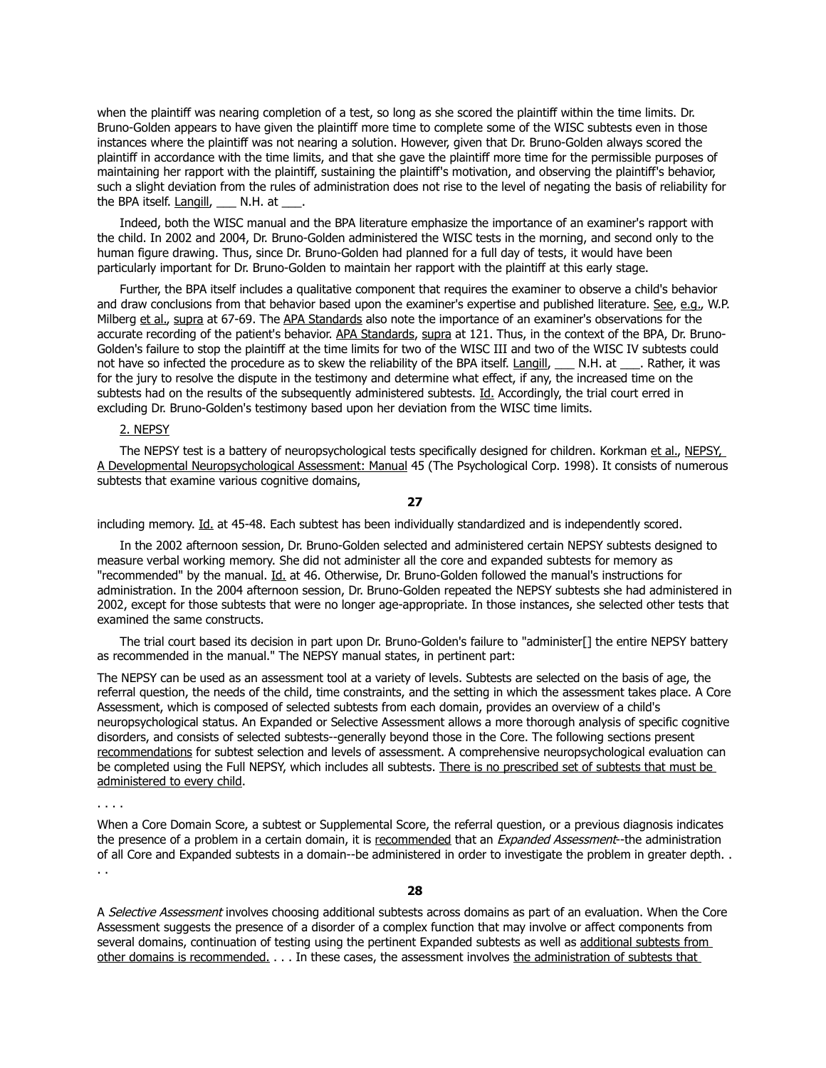when the plaintiff was nearing completion of a test, so long as she scored the plaintiff within the time limits. Dr. Bruno-Golden appears to have given the plaintiff more time to complete some of the WISC subtests even in those instances where the plaintiff was not nearing a solution. However, given that Dr. Bruno-Golden always scored the plaintiff in accordance with the time limits, and that she gave the plaintiff more time for the permissible purposes of maintaining her rapport with the plaintiff, sustaining the plaintiff's motivation, and observing the plaintiff's behavior, such a slight deviation from the rules of administration does not rise to the level of negating the basis of reliability for the BPA itself. Langill, N.H. at ...

 Indeed, both the WISC manual and the BPA literature emphasize the importance of an examiner's rapport with the child. In 2002 and 2004, Dr. Bruno-Golden administered the WISC tests in the morning, and second only to the human figure drawing. Thus, since Dr. Bruno-Golden had planned for a full day of tests, it would have been particularly important for Dr. Bruno-Golden to maintain her rapport with the plaintiff at this early stage.

 Further, the BPA itself includes a qualitative component that requires the examiner to observe a child's behavior and draw conclusions from that behavior based upon the examiner's expertise and published literature. See, e.g., W.P. Milberg et al., supra at 67-69. The APA Standards also note the importance of an examiner's observations for the accurate recording of the patient's behavior. APA Standards, supra at 121. Thus, in the context of the BPA, Dr. Bruno-Golden's failure to stop the plaintiff at the time limits for two of the WISC III and two of the WISC IV subtests could not have so infected the procedure as to skew the reliability of the BPA itself. Langill, \_\_\_ N.H. at \_\_\_. Rather, it was for the jury to resolve the dispute in the testimony and determine what effect, if any, the increased time on the subtests had on the results of the subsequently administered subtests. Id. Accordingly, the trial court erred in excluding Dr. Bruno-Golden's testimony based upon her deviation from the WISC time limits.

# 2. NEPSY

The NEPSY test is a battery of neuropsychological tests specifically designed for children. Korkman et al., NEPSY, A Developmental Neuropsychological Assessment: Manual 45 (The Psychological Corp. 1998). It consists of numerous subtests that examine various cognitive domains,

**27**

including memory. Id. at 45-48. Each subtest has been individually standardized and is independently scored.

 In the 2002 afternoon session, Dr. Bruno-Golden selected and administered certain NEPSY subtests designed to measure verbal working memory. She did not administer all the core and expanded subtests for memory as "recommended" by the manual. Id. at 46. Otherwise, Dr. Bruno-Golden followed the manual's instructions for administration. In the 2004 afternoon session, Dr. Bruno-Golden repeated the NEPSY subtests she had administered in 2002, except for those subtests that were no longer age-appropriate. In those instances, she selected other tests that examined the same constructs.

 The trial court based its decision in part upon Dr. Bruno-Golden's failure to "administer[] the entire NEPSY battery as recommended in the manual." The NEPSY manual states, in pertinent part:

The NEPSY can be used as an assessment tool at a variety of levels. Subtests are selected on the basis of age, the referral question, the needs of the child, time constraints, and the setting in which the assessment takes place. A Core Assessment, which is composed of selected subtests from each domain, provides an overview of a child's neuropsychological status. An Expanded or Selective Assessment allows a more thorough analysis of specific cognitive disorders, and consists of selected subtests--generally beyond those in the Core. The following sections present recommendations for subtest selection and levels of assessment. A comprehensive neuropsychological evaluation can be completed using the Full NEPSY, which includes all subtests. There is no prescribed set of subtests that must be administered to every child.

. . . .

When a Core Domain Score, a subtest or Supplemental Score, the referral question, or a previous diagnosis indicates the presence of a problem in a certain domain, it is recommended that an Expanded Assessment--the administration of all Core and Expanded subtests in a domain--be administered in order to investigate the problem in greater depth. . . .

**28**

A Selective Assessment involves choosing additional subtests across domains as part of an evaluation. When the Core Assessment suggests the presence of a disorder of a complex function that may involve or affect components from several domains, continuation of testing using the pertinent Expanded subtests as well as additional subtests from other domains is recommended. . . . In these cases, the assessment involves the administration of subtests that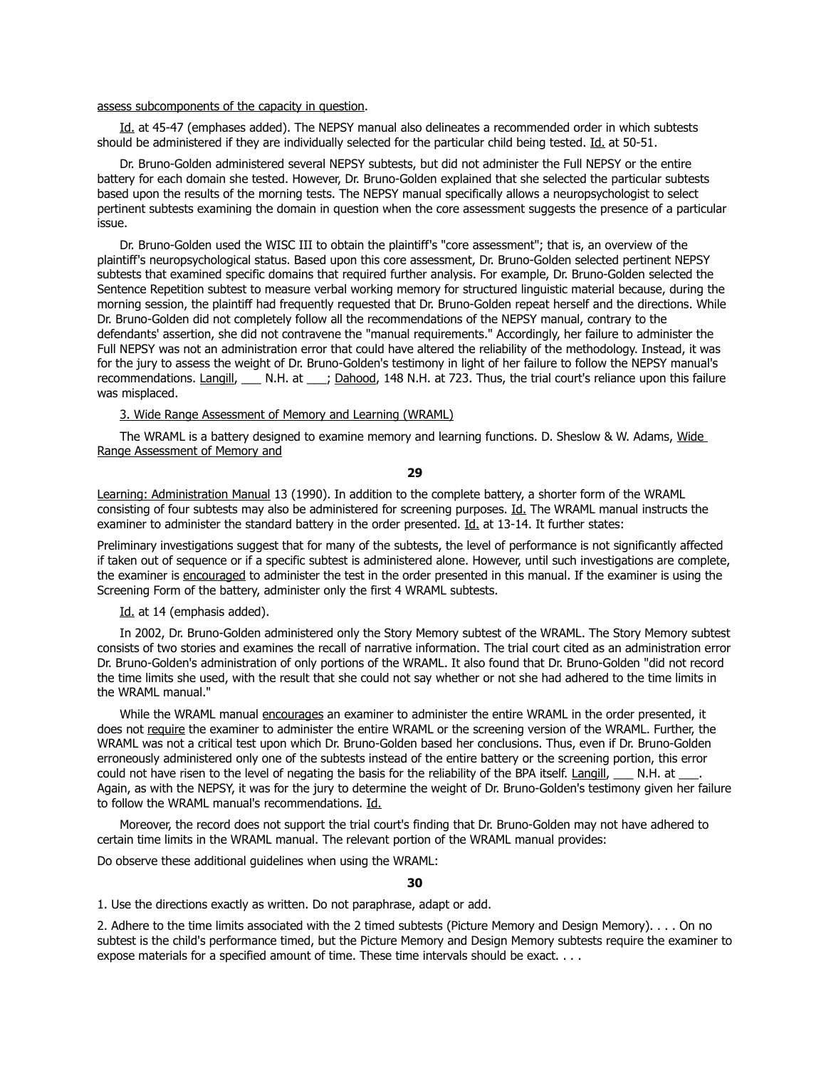#### assess subcomponents of the capacity in question.

Id. at 45-47 (emphases added). The NEPSY manual also delineates a recommended order in which subtests should be administered if they are individually selected for the particular child being tested. Id. at 50-51.

 Dr. Bruno-Golden administered several NEPSY subtests, but did not administer the Full NEPSY or the entire battery for each domain she tested. However, Dr. Bruno-Golden explained that she selected the particular subtests based upon the results of the morning tests. The NEPSY manual specifically allows a neuropsychologist to select pertinent subtests examining the domain in question when the core assessment suggests the presence of a particular issue.

 Dr. Bruno-Golden used the WISC III to obtain the plaintiff's "core assessment"; that is, an overview of the plaintiff's neuropsychological status. Based upon this core assessment, Dr. Bruno-Golden selected pertinent NEPSY subtests that examined specific domains that required further analysis. For example, Dr. Bruno-Golden selected the Sentence Repetition subtest to measure verbal working memory for structured linguistic material because, during the morning session, the plaintiff had frequently requested that Dr. Bruno-Golden repeat herself and the directions. While Dr. Bruno-Golden did not completely follow all the recommendations of the NEPSY manual, contrary to the defendants' assertion, she did not contravene the "manual requirements." Accordingly, her failure to administer the Full NEPSY was not an administration error that could have altered the reliability of the methodology. Instead, it was for the jury to assess the weight of Dr. Bruno-Golden's testimony in light of her failure to follow the NEPSY manual's recommendations. Langill, \_\_\_ N.H. at \_\_\_; Dahood, 148 N.H. at 723. Thus, the trial court's reliance upon this failure was misplaced.

## 3. Wide Range Assessment of Memory and Learning (WRAML)

 The WRAML is a battery designed to examine memory and learning functions. D. Sheslow & W. Adams, Wide Range Assessment of Memory and

**29**

Learning: Administration Manual 13 (1990). In addition to the complete battery, a shorter form of the WRAML consisting of four subtests may also be administered for screening purposes. Id. The WRAML manual instructs the examiner to administer the standard battery in the order presented. Id. at 13-14. It further states:

Preliminary investigations suggest that for many of the subtests, the level of performance is not significantly affected if taken out of sequence or if a specific subtest is administered alone. However, until such investigations are complete, the examiner is encouraged to administer the test in the order presented in this manual. If the examiner is using the Screening Form of the battery, administer only the first 4 WRAML subtests.

Id. at 14 (emphasis added).

 In 2002, Dr. Bruno-Golden administered only the Story Memory subtest of the WRAML. The Story Memory subtest consists of two stories and examines the recall of narrative information. The trial court cited as an administration error Dr. Bruno-Golden's administration of only portions of the WRAML. It also found that Dr. Bruno-Golden "did not record the time limits she used, with the result that she could not say whether or not she had adhered to the time limits in the WRAML manual."

 While the WRAML manual encourages an examiner to administer the entire WRAML in the order presented, it does not require the examiner to administer the entire WRAML or the screening version of the WRAML. Further, the WRAML was not a critical test upon which Dr. Bruno-Golden based her conclusions. Thus, even if Dr. Bruno-Golden erroneously administered only one of the subtests instead of the entire battery or the screening portion, this error could not have risen to the level of negating the basis for the reliability of the BPA itself. Langill, N.H. at \_\_\_. Again, as with the NEPSY, it was for the jury to determine the weight of Dr. Bruno-Golden's testimony given her failure to follow the WRAML manual's recommendations. Id.

 Moreover, the record does not support the trial court's finding that Dr. Bruno-Golden may not have adhered to certain time limits in the WRAML manual. The relevant portion of the WRAML manual provides:

Do observe these additional guidelines when using the WRAML:

## **30**

1. Use the directions exactly as written. Do not paraphrase, adapt or add.

2. Adhere to the time limits associated with the 2 timed subtests (Picture Memory and Design Memory). . . . On no subtest is the child's performance timed, but the Picture Memory and Design Memory subtests require the examiner to expose materials for a specified amount of time. These time intervals should be exact. . . .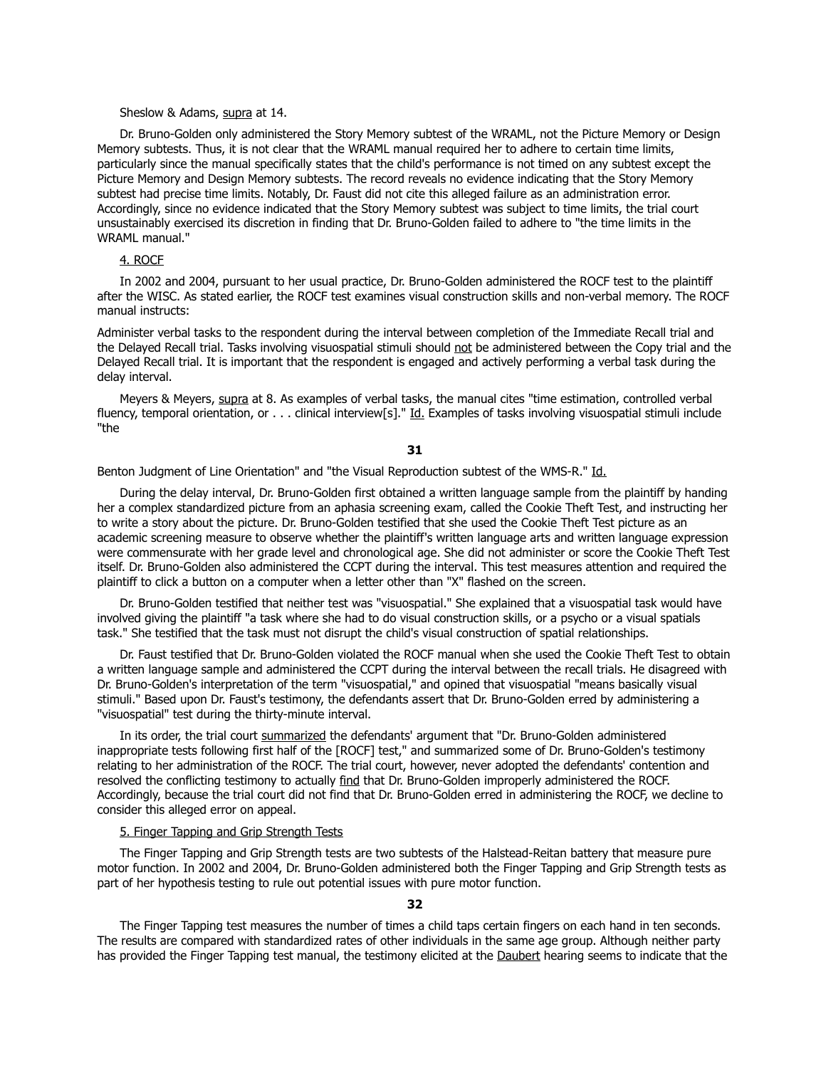#### Sheslow & Adams, supra at 14.

 Dr. Bruno-Golden only administered the Story Memory subtest of the WRAML, not the Picture Memory or Design Memory subtests. Thus, it is not clear that the WRAML manual required her to adhere to certain time limits, particularly since the manual specifically states that the child's performance is not timed on any subtest except the Picture Memory and Design Memory subtests. The record reveals no evidence indicating that the Story Memory subtest had precise time limits. Notably, Dr. Faust did not cite this alleged failure as an administration error. Accordingly, since no evidence indicated that the Story Memory subtest was subject to time limits, the trial court unsustainably exercised its discretion in finding that Dr. Bruno-Golden failed to adhere to "the time limits in the WRAML manual."

# 4. ROCF

 In 2002 and 2004, pursuant to her usual practice, Dr. Bruno-Golden administered the ROCF test to the plaintiff after the WISC. As stated earlier, the ROCF test examines visual construction skills and non-verbal memory. The ROCF manual instructs:

Administer verbal tasks to the respondent during the interval between completion of the Immediate Recall trial and the Delayed Recall trial. Tasks involving visuospatial stimuli should not be administered between the Copy trial and the Delayed Recall trial. It is important that the respondent is engaged and actively performing a verbal task during the delay interval.

 Meyers & Meyers, supra at 8. As examples of verbal tasks, the manual cites "time estimation, controlled verbal fluency, temporal orientation, or . . . clinical interview[s]." Id. Examples of tasks involving visuospatial stimuli include "the

**31**

Benton Judgment of Line Orientation" and "the Visual Reproduction subtest of the WMS-R." Id.

 During the delay interval, Dr. Bruno-Golden first obtained a written language sample from the plaintiff by handing her a complex standardized picture from an aphasia screening exam, called the Cookie Theft Test, and instructing her to write a story about the picture. Dr. Bruno-Golden testified that she used the Cookie Theft Test picture as an academic screening measure to observe whether the plaintiff's written language arts and written language expression were commensurate with her grade level and chronological age. She did not administer or score the Cookie Theft Test itself. Dr. Bruno-Golden also administered the CCPT during the interval. This test measures attention and required the plaintiff to click a button on a computer when a letter other than "X" flashed on the screen.

 Dr. Bruno-Golden testified that neither test was "visuospatial." She explained that a visuospatial task would have involved giving the plaintiff "a task where she had to do visual construction skills, or a psycho or a visual spatials task." She testified that the task must not disrupt the child's visual construction of spatial relationships.

 Dr. Faust testified that Dr. Bruno-Golden violated the ROCF manual when she used the Cookie Theft Test to obtain a written language sample and administered the CCPT during the interval between the recall trials. He disagreed with Dr. Bruno-Golden's interpretation of the term "visuospatial," and opined that visuospatial "means basically visual stimuli." Based upon Dr. Faust's testimony, the defendants assert that Dr. Bruno-Golden erred by administering a "visuospatial" test during the thirty-minute interval.

 In its order, the trial court summarized the defendants' argument that "Dr. Bruno-Golden administered inappropriate tests following first half of the [ROCF] test," and summarized some of Dr. Bruno-Golden's testimony relating to her administration of the ROCF. The trial court, however, never adopted the defendants' contention and resolved the conflicting testimony to actually find that Dr. Bruno-Golden improperly administered the ROCF. Accordingly, because the trial court did not find that Dr. Bruno-Golden erred in administering the ROCF, we decline to consider this alleged error on appeal.

## 5. Finger Tapping and Grip Strength Tests

 The Finger Tapping and Grip Strength tests are two subtests of the Halstead-Reitan battery that measure pure motor function. In 2002 and 2004, Dr. Bruno-Golden administered both the Finger Tapping and Grip Strength tests as part of her hypothesis testing to rule out potential issues with pure motor function.

#### **32**

 The Finger Tapping test measures the number of times a child taps certain fingers on each hand in ten seconds. The results are compared with standardized rates of other individuals in the same age group. Although neither party has provided the Finger Tapping test manual, the testimony elicited at the Daubert hearing seems to indicate that the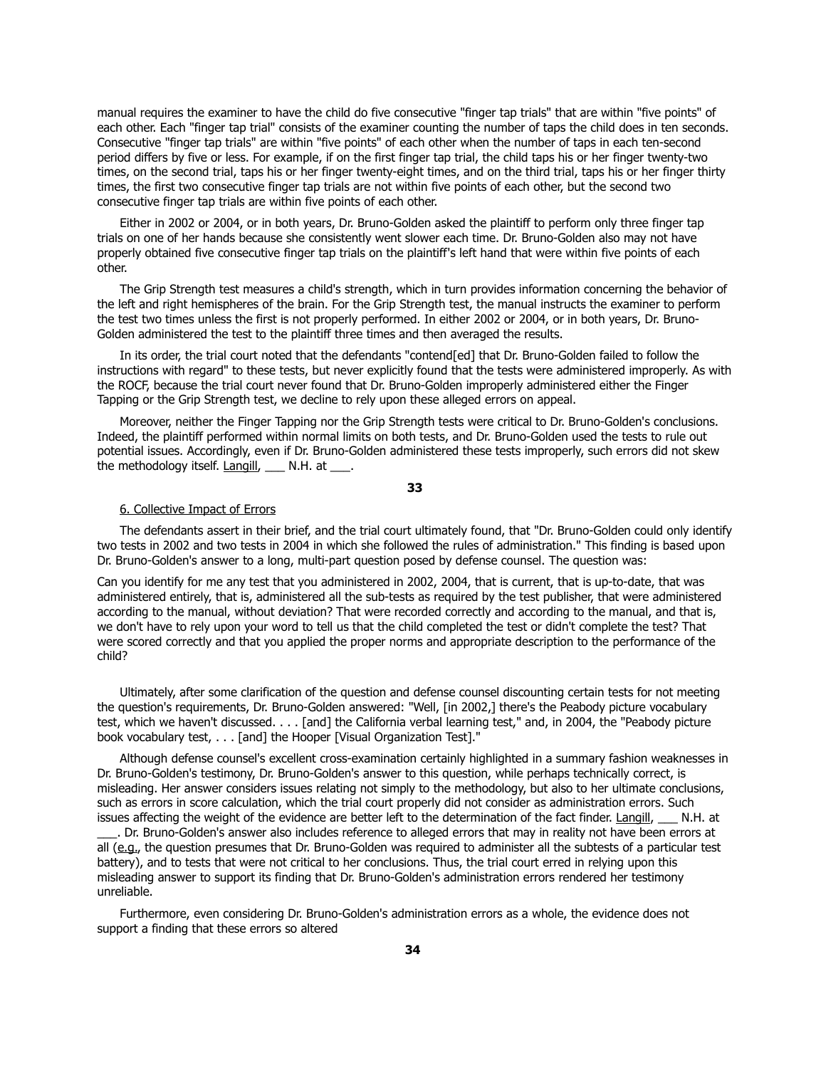manual requires the examiner to have the child do five consecutive "finger tap trials" that are within "five points" of each other. Each "finger tap trial" consists of the examiner counting the number of taps the child does in ten seconds. Consecutive "finger tap trials" are within "five points" of each other when the number of taps in each ten-second period differs by five or less. For example, if on the first finger tap trial, the child taps his or her finger twenty-two times, on the second trial, taps his or her finger twenty-eight times, and on the third trial, taps his or her finger thirty times, the first two consecutive finger tap trials are not within five points of each other, but the second two consecutive finger tap trials are within five points of each other.

 Either in 2002 or 2004, or in both years, Dr. Bruno-Golden asked the plaintiff to perform only three finger tap trials on one of her hands because she consistently went slower each time. Dr. Bruno-Golden also may not have properly obtained five consecutive finger tap trials on the plaintiff's left hand that were within five points of each other.

 The Grip Strength test measures a child's strength, which in turn provides information concerning the behavior of the left and right hemispheres of the brain. For the Grip Strength test, the manual instructs the examiner to perform the test two times unless the first is not properly performed. In either 2002 or 2004, or in both years, Dr. Bruno-Golden administered the test to the plaintiff three times and then averaged the results.

 In its order, the trial court noted that the defendants "contend[ed] that Dr. Bruno-Golden failed to follow the instructions with regard" to these tests, but never explicitly found that the tests were administered improperly. As with the ROCF, because the trial court never found that Dr. Bruno-Golden improperly administered either the Finger Tapping or the Grip Strength test, we decline to rely upon these alleged errors on appeal.

 Moreover, neither the Finger Tapping nor the Grip Strength tests were critical to Dr. Bruno-Golden's conclusions. Indeed, the plaintiff performed within normal limits on both tests, and Dr. Bruno-Golden used the tests to rule out potential issues. Accordingly, even if Dr. Bruno-Golden administered these tests improperly, such errors did not skew the methodology itself. Langill, N.H. at \_\_\_.

**33**

#### 6. Collective Impact of Errors

 The defendants assert in their brief, and the trial court ultimately found, that "Dr. Bruno-Golden could only identify two tests in 2002 and two tests in 2004 in which she followed the rules of administration." This finding is based upon Dr. Bruno-Golden's answer to a long, multi-part question posed by defense counsel. The question was:

Can you identify for me any test that you administered in 2002, 2004, that is current, that is up-to-date, that was administered entirely, that is, administered all the sub-tests as required by the test publisher, that were administered according to the manual, without deviation? That were recorded correctly and according to the manual, and that is, we don't have to rely upon your word to tell us that the child completed the test or didn't complete the test? That were scored correctly and that you applied the proper norms and appropriate description to the performance of the child?

 Ultimately, after some clarification of the question and defense counsel discounting certain tests for not meeting the question's requirements, Dr. Bruno-Golden answered: "Well, [in 2002,] there's the Peabody picture vocabulary test, which we haven't discussed. . . . [and] the California verbal learning test," and, in 2004, the "Peabody picture book vocabulary test, . . . [and] the Hooper [Visual Organization Test]."

 Although defense counsel's excellent cross-examination certainly highlighted in a summary fashion weaknesses in Dr. Bruno-Golden's testimony, Dr. Bruno-Golden's answer to this question, while perhaps technically correct, is misleading. Her answer considers issues relating not simply to the methodology, but also to her ultimate conclusions, such as errors in score calculation, which the trial court properly did not consider as administration errors. Such issues affecting the weight of the evidence are better left to the determination of the fact finder. Langill, \_\_\_ N.H. at

\_\_\_. Dr. Bruno-Golden's answer also includes reference to alleged errors that may in reality not have been errors at all (e.g., the question presumes that Dr. Bruno-Golden was required to administer all the subtests of a particular test battery), and to tests that were not critical to her conclusions. Thus, the trial court erred in relying upon this misleading answer to support its finding that Dr. Bruno-Golden's administration errors rendered her testimony unreliable.

 Furthermore, even considering Dr. Bruno-Golden's administration errors as a whole, the evidence does not support a finding that these errors so altered